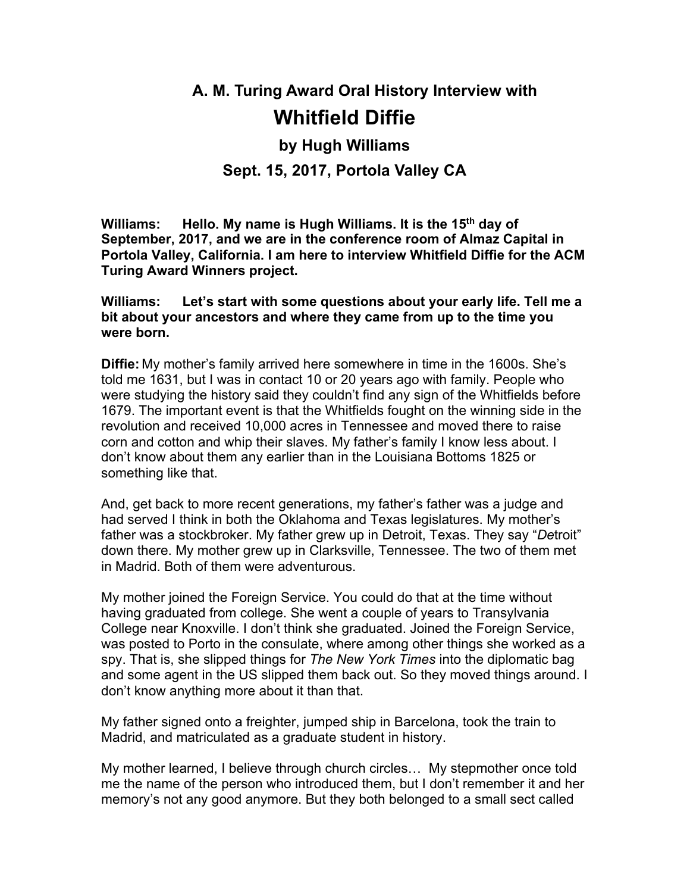# **A. M. Turing Award Oral History Interview with Whitfield Diffie**

# **by Hugh Williams Sept. 15, 2017, Portola Valley CA**

**Williams: Hello. My name is Hugh Williams. It is the 15th day of September, 2017, and we are in the conference room of Almaz Capital in Portola Valley, California. I am here to interview Whitfield Diffie for the ACM Turing Award Winners project.**

**Williams: Let's start with some questions about your early life. Tell me a bit about your ancestors and where they came from up to the time you were born.**

**Diffie:** My mother's family arrived here somewhere in time in the 1600s. She's told me 1631, but I was in contact 10 or 20 years ago with family. People who were studying the history said they couldn't find any sign of the Whitfields before 1679. The important event is that the Whitfields fought on the winning side in the revolution and received 10,000 acres in Tennessee and moved there to raise corn and cotton and whip their slaves. My father's family I know less about. I don't know about them any earlier than in the Louisiana Bottoms 1825 or something like that.

And, get back to more recent generations, my father's father was a judge and had served I think in both the Oklahoma and Texas legislatures. My mother's father was a stockbroker. My father grew up in Detroit, Texas. They say "*De*troit" down there. My mother grew up in Clarksville, Tennessee. The two of them met in Madrid. Both of them were adventurous.

My mother joined the Foreign Service. You could do that at the time without having graduated from college. She went a couple of years to Transylvania College near Knoxville. I don't think she graduated. Joined the Foreign Service, was posted to Porto in the consulate, where among other things she worked as a spy. That is, she slipped things for *The New York Times* into the diplomatic bag and some agent in the US slipped them back out. So they moved things around. I don't know anything more about it than that.

My father signed onto a freighter, jumped ship in Barcelona, took the train to Madrid, and matriculated as a graduate student in history.

My mother learned, I believe through church circles… My stepmother once told me the name of the person who introduced them, but I don't remember it and her memory's not any good anymore. But they both belonged to a small sect called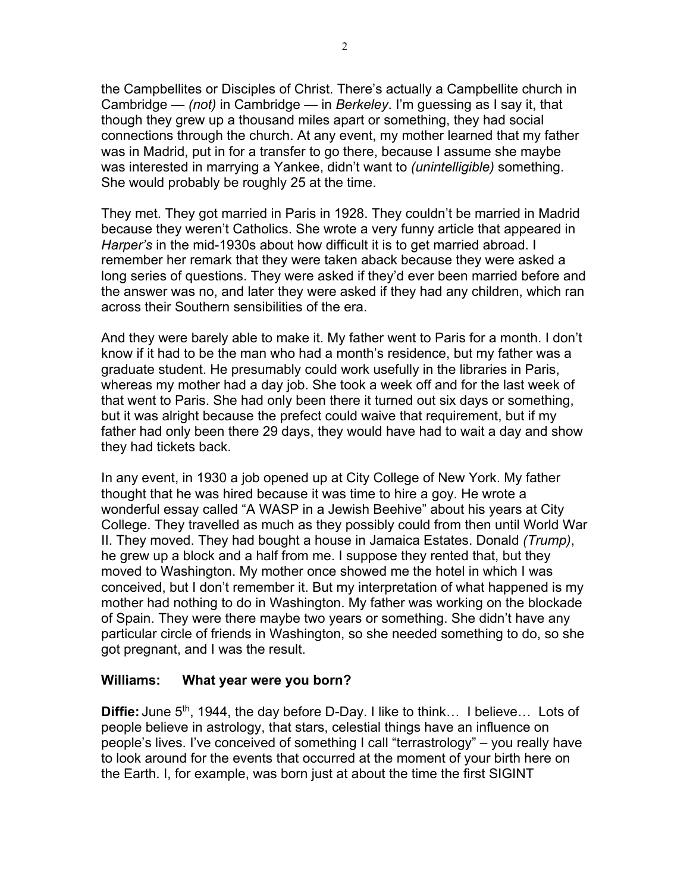the Campbellites or Disciples of Christ. There's actually a Campbellite church in Cambridge — *(not)* in Cambridge — in *Berkeley*. I'm guessing as I say it, that though they grew up a thousand miles apart or something, they had social connections through the church. At any event, my mother learned that my father was in Madrid, put in for a transfer to go there, because I assume she maybe was interested in marrying a Yankee, didn't want to *(unintelligible)* something. She would probably be roughly 25 at the time.

They met. They got married in Paris in 1928. They couldn't be married in Madrid because they weren't Catholics. She wrote a very funny article that appeared in *Harper's* in the mid-1930s about how difficult it is to get married abroad. I remember her remark that they were taken aback because they were asked a long series of questions. They were asked if they'd ever been married before and the answer was no, and later they were asked if they had any children, which ran across their Southern sensibilities of the era.

And they were barely able to make it. My father went to Paris for a month. I don't know if it had to be the man who had a month's residence, but my father was a graduate student. He presumably could work usefully in the libraries in Paris, whereas my mother had a day job. She took a week off and for the last week of that went to Paris. She had only been there it turned out six days or something, but it was alright because the prefect could waive that requirement, but if my father had only been there 29 days, they would have had to wait a day and show they had tickets back.

In any event, in 1930 a job opened up at City College of New York. My father thought that he was hired because it was time to hire a goy. He wrote a wonderful essay called "A WASP in a Jewish Beehive" about his years at City College. They travelled as much as they possibly could from then until World War II. They moved. They had bought a house in Jamaica Estates. Donald *(Trump)*, he grew up a block and a half from me. I suppose they rented that, but they moved to Washington. My mother once showed me the hotel in which I was conceived, but I don't remember it. But my interpretation of what happened is my mother had nothing to do in Washington. My father was working on the blockade of Spain. They were there maybe two years or something. She didn't have any particular circle of friends in Washington, so she needed something to do, so she got pregnant, and I was the result.

#### **Williams: What year were you born?**

**Diffie:** June 5<sup>th</sup>, 1944, the day before D-Day. I like to think... I believe... Lots of people believe in astrology, that stars, celestial things have an influence on people's lives. I've conceived of something I call "terrastrology" – you really have to look around for the events that occurred at the moment of your birth here on the Earth. I, for example, was born just at about the time the first SIGINT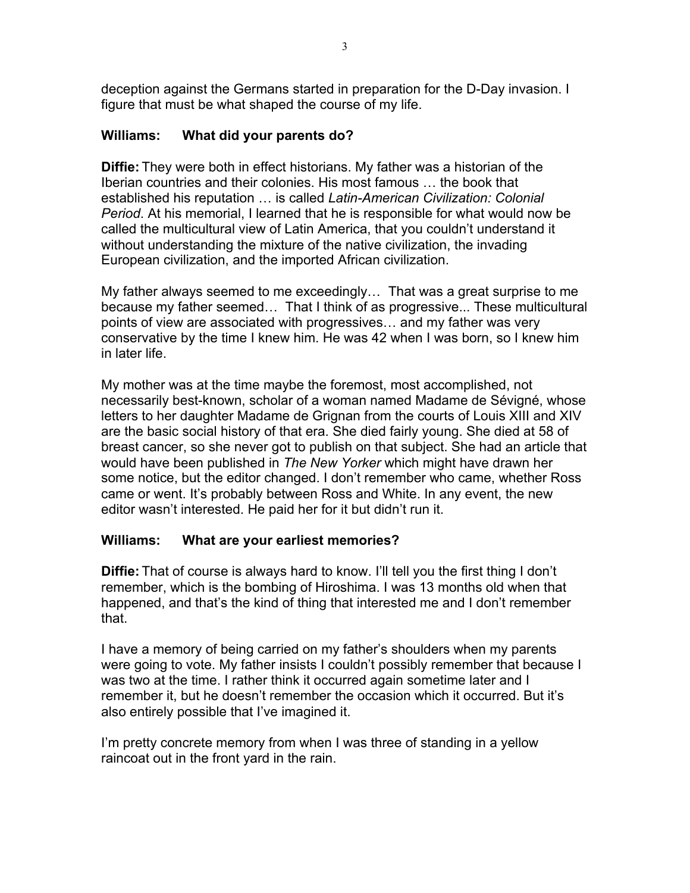deception against the Germans started in preparation for the D-Day invasion. I figure that must be what shaped the course of my life.

# **Williams: What did your parents do?**

**Diffie:** They were both in effect historians. My father was a historian of the Iberian countries and their colonies. His most famous … the book that established his reputation … is called *Latin-American Civilization: Colonial Period*. At his memorial, I learned that he is responsible for what would now be called the multicultural view of Latin America, that you couldn't understand it without understanding the mixture of the native civilization, the invading European civilization, and the imported African civilization.

My father always seemed to me exceedingly… That was a great surprise to me because my father seemed… That I think of as progressive... These multicultural points of view are associated with progressives… and my father was very conservative by the time I knew him. He was 42 when I was born, so I knew him in later life.

My mother was at the time maybe the foremost, most accomplished, not necessarily best-known, scholar of a woman named Madame de Sévigné, whose letters to her daughter Madame de Grignan from the courts of Louis XIII and XIV are the basic social history of that era. She died fairly young. She died at 58 of breast cancer, so she never got to publish on that subject. She had an article that would have been published in *The New Yorker* which might have drawn her some notice, but the editor changed. I don't remember who came, whether Ross came or went. It's probably between Ross and White. In any event, the new editor wasn't interested. He paid her for it but didn't run it.

#### **Williams: What are your earliest memories?**

**Diffie:** That of course is always hard to know. I'll tell you the first thing I don't remember, which is the bombing of Hiroshima. I was 13 months old when that happened, and that's the kind of thing that interested me and I don't remember that.

I have a memory of being carried on my father's shoulders when my parents were going to vote. My father insists I couldn't possibly remember that because I was two at the time. I rather think it occurred again sometime later and I remember it, but he doesn't remember the occasion which it occurred. But it's also entirely possible that I've imagined it.

I'm pretty concrete memory from when I was three of standing in a yellow raincoat out in the front yard in the rain.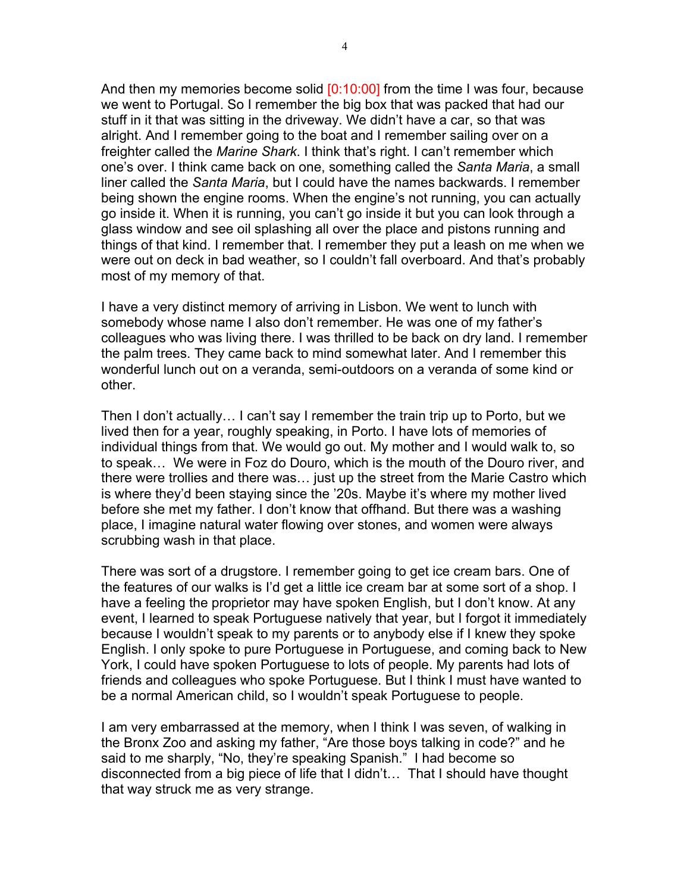And then my memories become solid [0:10:00] from the time I was four, because we went to Portugal. So I remember the big box that was packed that had our stuff in it that was sitting in the driveway. We didn't have a car, so that was alright. And I remember going to the boat and I remember sailing over on a freighter called the *Marine Shark*. I think that's right. I can't remember which one's over. I think came back on one, something called the *Santa Maria*, a small liner called the *Santa Maria*, but I could have the names backwards. I remember being shown the engine rooms. When the engine's not running, you can actually go inside it. When it is running, you can't go inside it but you can look through a glass window and see oil splashing all over the place and pistons running and things of that kind. I remember that. I remember they put a leash on me when we were out on deck in bad weather, so I couldn't fall overboard. And that's probably most of my memory of that.

I have a very distinct memory of arriving in Lisbon. We went to lunch with somebody whose name I also don't remember. He was one of my father's colleagues who was living there. I was thrilled to be back on dry land. I remember the palm trees. They came back to mind somewhat later. And I remember this wonderful lunch out on a veranda, semi-outdoors on a veranda of some kind or other.

Then I don't actually… I can't say I remember the train trip up to Porto, but we lived then for a year, roughly speaking, in Porto. I have lots of memories of individual things from that. We would go out. My mother and I would walk to, so to speak… We were in Foz do Douro, which is the mouth of the Douro river, and there were trollies and there was… just up the street from the Marie Castro which is where they'd been staying since the '20s. Maybe it's where my mother lived before she met my father. I don't know that offhand. But there was a washing place, I imagine natural water flowing over stones, and women were always scrubbing wash in that place.

There was sort of a drugstore. I remember going to get ice cream bars. One of the features of our walks is I'd get a little ice cream bar at some sort of a shop. I have a feeling the proprietor may have spoken English, but I don't know. At any event, I learned to speak Portuguese natively that year, but I forgot it immediately because I wouldn't speak to my parents or to anybody else if I knew they spoke English. I only spoke to pure Portuguese in Portuguese, and coming back to New York, I could have spoken Portuguese to lots of people. My parents had lots of friends and colleagues who spoke Portuguese. But I think I must have wanted to be a normal American child, so I wouldn't speak Portuguese to people.

I am very embarrassed at the memory, when I think I was seven, of walking in the Bronx Zoo and asking my father, "Are those boys talking in code?" and he said to me sharply, "No, they're speaking Spanish." I had become so disconnected from a big piece of life that I didn't… That I should have thought that way struck me as very strange.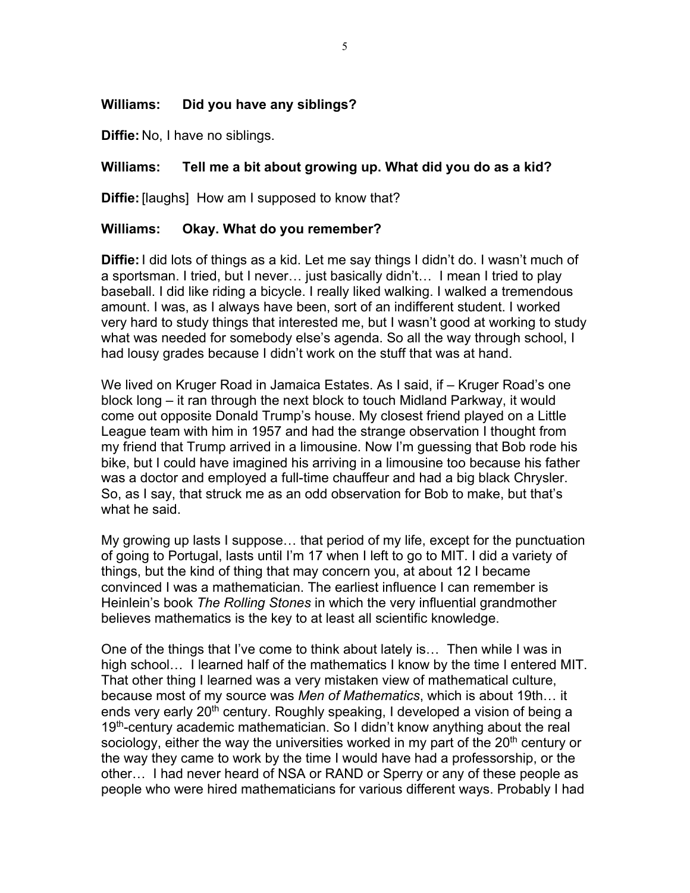#### **Williams: Did you have any siblings?**

**Diffie:** No, I have no siblings.

#### **Williams: Tell me a bit about growing up. What did you do as a kid?**

**Diffie:** [laughs] How am I supposed to know that?

#### **Williams: Okay. What do you remember?**

**Diffie:** I did lots of things as a kid. Let me say things I didn't do. I wasn't much of a sportsman. I tried, but I never… just basically didn't… I mean I tried to play baseball. I did like riding a bicycle. I really liked walking. I walked a tremendous amount. I was, as I always have been, sort of an indifferent student. I worked very hard to study things that interested me, but I wasn't good at working to study what was needed for somebody else's agenda. So all the way through school, I had lousy grades because I didn't work on the stuff that was at hand.

We lived on Kruger Road in Jamaica Estates. As I said, if – Kruger Road's one block long – it ran through the next block to touch Midland Parkway, it would come out opposite Donald Trump's house. My closest friend played on a Little League team with him in 1957 and had the strange observation I thought from my friend that Trump arrived in a limousine. Now I'm guessing that Bob rode his bike, but I could have imagined his arriving in a limousine too because his father was a doctor and employed a full-time chauffeur and had a big black Chrysler. So, as I say, that struck me as an odd observation for Bob to make, but that's what he said.

My growing up lasts I suppose… that period of my life, except for the punctuation of going to Portugal, lasts until I'm 17 when I left to go to MIT. I did a variety of things, but the kind of thing that may concern you, at about 12 I became convinced I was a mathematician. The earliest influence I can remember is Heinlein's book *The Rolling Stones* in which the very influential grandmother believes mathematics is the key to at least all scientific knowledge.

One of the things that I've come to think about lately is… Then while I was in high school… I learned half of the mathematics I know by the time I entered MIT. That other thing I learned was a very mistaken view of mathematical culture, because most of my source was *Men of Mathematics*, which is about 19th… it ends very early 20<sup>th</sup> century. Roughly speaking, I developed a vision of being a 19<sup>th</sup>-century academic mathematician. So I didn't know anything about the real sociology, either the way the universities worked in my part of the 20<sup>th</sup> century or the way they came to work by the time I would have had a professorship, or the other… I had never heard of NSA or RAND or Sperry or any of these people as people who were hired mathematicians for various different ways. Probably I had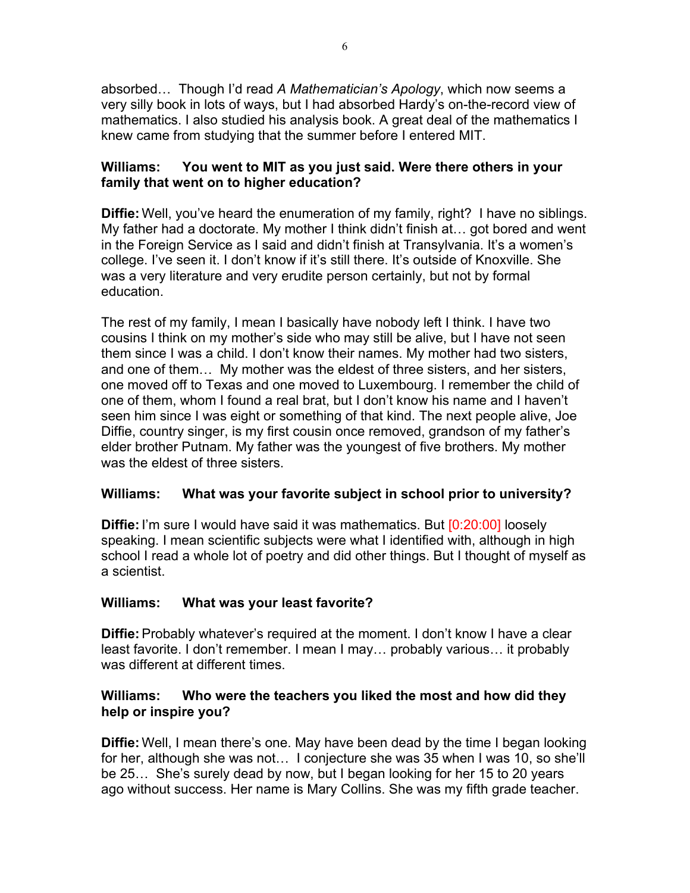absorbed… Though I'd read *A Mathematician's Apology*, which now seems a very silly book in lots of ways, but I had absorbed Hardy's on-the-record view of mathematics. I also studied his analysis book. A great deal of the mathematics I knew came from studying that the summer before I entered MIT.

## **Williams: You went to MIT as you just said. Were there others in your family that went on to higher education?**

**Diffie:** Well, you've heard the enumeration of my family, right? I have no siblings. My father had a doctorate. My mother I think didn't finish at… got bored and went in the Foreign Service as I said and didn't finish at Transylvania. It's a women's college. I've seen it. I don't know if it's still there. It's outside of Knoxville. She was a very literature and very erudite person certainly, but not by formal education.

The rest of my family, I mean I basically have nobody left I think. I have two cousins I think on my mother's side who may still be alive, but I have not seen them since I was a child. I don't know their names. My mother had two sisters, and one of them… My mother was the eldest of three sisters, and her sisters, one moved off to Texas and one moved to Luxembourg. I remember the child of one of them, whom I found a real brat, but I don't know his name and I haven't seen him since I was eight or something of that kind. The next people alive, Joe Diffie, country singer, is my first cousin once removed, grandson of my father's elder brother Putnam. My father was the youngest of five brothers. My mother was the eldest of three sisters.

# **Williams: What was your favorite subject in school prior to university?**

**Diffie:** I'm sure I would have said it was mathematics. But [0:20:00] loosely speaking. I mean scientific subjects were what I identified with, although in high school I read a whole lot of poetry and did other things. But I thought of myself as a scientist.

#### **Williams: What was your least favorite?**

**Diffie:** Probably whatever's required at the moment. I don't know I have a clear least favorite. I don't remember. I mean I may… probably various… it probably was different at different times.

## **Williams: Who were the teachers you liked the most and how did they help or inspire you?**

**Diffie:** Well, I mean there's one. May have been dead by the time I began looking for her, although she was not… I conjecture she was 35 when I was 10, so she'll be 25… She's surely dead by now, but I began looking for her 15 to 20 years ago without success. Her name is Mary Collins. She was my fifth grade teacher.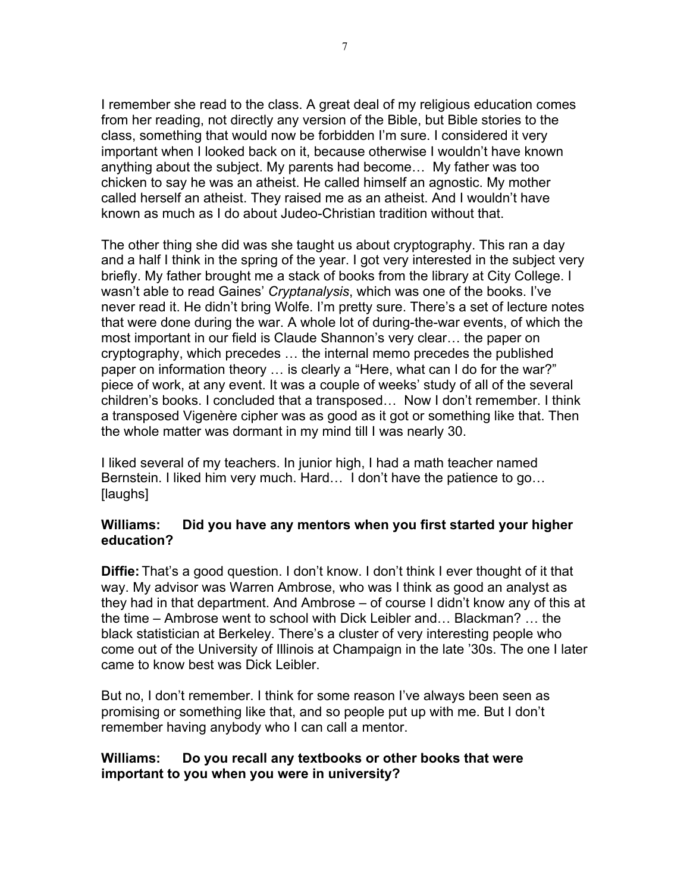I remember she read to the class. A great deal of my religious education comes from her reading, not directly any version of the Bible, but Bible stories to the class, something that would now be forbidden I'm sure. I considered it very important when I looked back on it, because otherwise I wouldn't have known anything about the subject. My parents had become… My father was too chicken to say he was an atheist. He called himself an agnostic. My mother called herself an atheist. They raised me as an atheist. And I wouldn't have known as much as I do about Judeo-Christian tradition without that.

The other thing she did was she taught us about cryptography. This ran a day and a half I think in the spring of the year. I got very interested in the subject very briefly. My father brought me a stack of books from the library at City College. I wasn't able to read Gaines' *Cryptanalysis*, which was one of the books. I've never read it. He didn't bring Wolfe. I'm pretty sure. There's a set of lecture notes that were done during the war. A whole lot of during-the-war events, of which the most important in our field is Claude Shannon's very clear… the paper on cryptography, which precedes … the internal memo precedes the published paper on information theory … is clearly a "Here, what can I do for the war?" piece of work, at any event. It was a couple of weeks' study of all of the several children's books. I concluded that a transposed… Now I don't remember. I think a transposed Vigenère cipher was as good as it got or something like that. Then the whole matter was dormant in my mind till I was nearly 30.

I liked several of my teachers. In junior high, I had a math teacher named Bernstein. I liked him very much. Hard… I don't have the patience to go… [laughs]

#### **Williams: Did you have any mentors when you first started your higher education?**

**Diffie:** That's a good question. I don't know. I don't think I ever thought of it that way. My advisor was Warren Ambrose, who was I think as good an analyst as they had in that department. And Ambrose – of course I didn't know any of this at the time – Ambrose went to school with Dick Leibler and… Blackman? … the black statistician at Berkeley. There's a cluster of very interesting people who come out of the University of Illinois at Champaign in the late '30s. The one I later came to know best was Dick Leibler.

But no, I don't remember. I think for some reason I've always been seen as promising or something like that, and so people put up with me. But I don't remember having anybody who I can call a mentor.

#### **Williams: Do you recall any textbooks or other books that were important to you when you were in university?**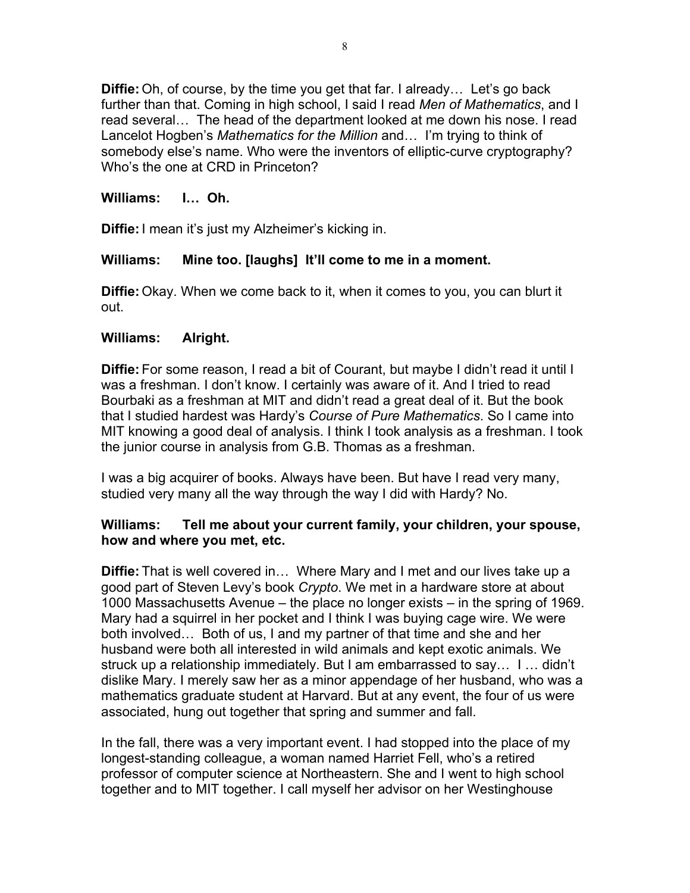**Diffie:** Oh, of course, by the time you get that far. I already… Let's go back further than that. Coming in high school, I said I read *Men of Mathematics*, and I read several… The head of the department looked at me down his nose. I read Lancelot Hogben's *Mathematics for the Million* and… I'm trying to think of somebody else's name. Who were the inventors of elliptic-curve cryptography? Who's the one at CRD in Princeton?

#### **Williams: I… Oh.**

**Diffie:** I mean it's just my Alzheimer's kicking in.

#### **Williams: Mine too. [laughs] It'll come to me in a moment.**

**Diffie:** Okay. When we come back to it, when it comes to you, you can blurt it out.

#### **Williams: Alright.**

**Diffie:** For some reason, I read a bit of Courant, but maybe I didn't read it until I was a freshman. I don't know. I certainly was aware of it. And I tried to read Bourbaki as a freshman at MIT and didn't read a great deal of it. But the book that I studied hardest was Hardy's *Course of Pure Mathematics*. So I came into MIT knowing a good deal of analysis. I think I took analysis as a freshman. I took the junior course in analysis from G.B. Thomas as a freshman.

I was a big acquirer of books. Always have been. But have I read very many, studied very many all the way through the way I did with Hardy? No.

#### **Williams: Tell me about your current family, your children, your spouse, how and where you met, etc.**

**Diffie:** That is well covered in… Where Mary and I met and our lives take up a good part of Steven Levy's book *Crypto*. We met in a hardware store at about 1000 Massachusetts Avenue – the place no longer exists – in the spring of 1969. Mary had a squirrel in her pocket and I think I was buying cage wire. We were both involved… Both of us, I and my partner of that time and she and her husband were both all interested in wild animals and kept exotic animals. We struck up a relationship immediately. But I am embarrassed to say… I … didn't dislike Mary. I merely saw her as a minor appendage of her husband, who was a mathematics graduate student at Harvard. But at any event, the four of us were associated, hung out together that spring and summer and fall.

In the fall, there was a very important event. I had stopped into the place of my longest-standing colleague, a woman named Harriet Fell, who's a retired professor of computer science at Northeastern. She and I went to high school together and to MIT together. I call myself her advisor on her Westinghouse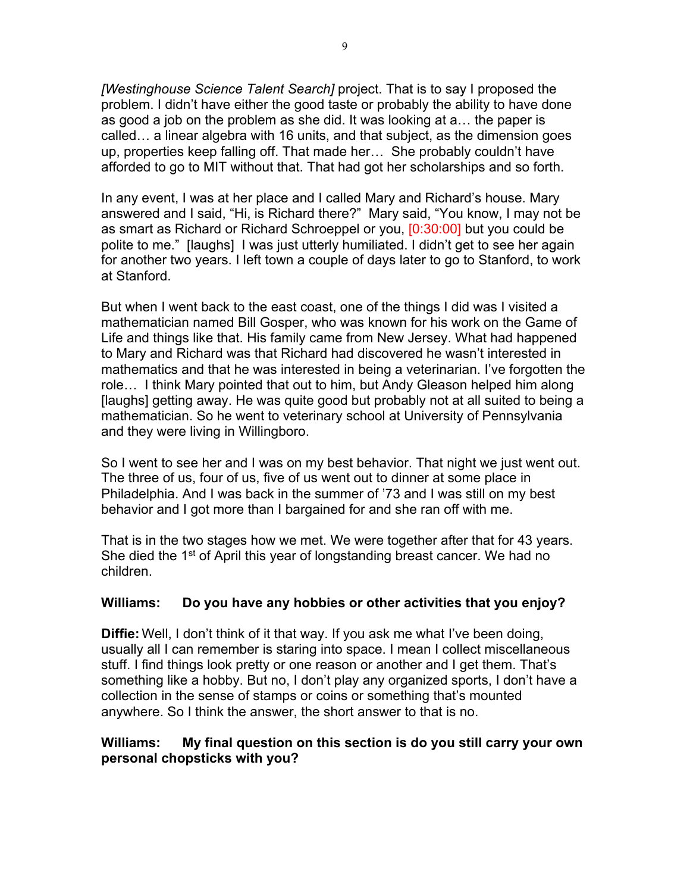*[Westinghouse Science Talent Search]* project. That is to say I proposed the problem. I didn't have either the good taste or probably the ability to have done as good a job on the problem as she did. It was looking at a… the paper is called… a linear algebra with 16 units, and that subject, as the dimension goes up, properties keep falling off. That made her… She probably couldn't have afforded to go to MIT without that. That had got her scholarships and so forth.

In any event, I was at her place and I called Mary and Richard's house. Mary answered and I said, "Hi, is Richard there?" Mary said, "You know, I may not be as smart as Richard or Richard Schroeppel or you, [0:30:00] but you could be polite to me." [laughs] I was just utterly humiliated. I didn't get to see her again for another two years. I left town a couple of days later to go to Stanford, to work at Stanford.

But when I went back to the east coast, one of the things I did was I visited a mathematician named Bill Gosper, who was known for his work on the Game of Life and things like that. His family came from New Jersey. What had happened to Mary and Richard was that Richard had discovered he wasn't interested in mathematics and that he was interested in being a veterinarian. I've forgotten the role… I think Mary pointed that out to him, but Andy Gleason helped him along [laughs] getting away. He was quite good but probably not at all suited to being a mathematician. So he went to veterinary school at University of Pennsylvania and they were living in Willingboro.

So I went to see her and I was on my best behavior. That night we just went out. The three of us, four of us, five of us went out to dinner at some place in Philadelphia. And I was back in the summer of '73 and I was still on my best behavior and I got more than I bargained for and she ran off with me.

That is in the two stages how we met. We were together after that for 43 years. She died the 1<sup>st</sup> of April this year of longstanding breast cancer. We had no children.

#### **Williams: Do you have any hobbies or other activities that you enjoy?**

**Diffie:** Well, I don't think of it that way. If you ask me what I've been doing, usually all I can remember is staring into space. I mean I collect miscellaneous stuff. I find things look pretty or one reason or another and I get them. That's something like a hobby. But no, I don't play any organized sports, I don't have a collection in the sense of stamps or coins or something that's mounted anywhere. So I think the answer, the short answer to that is no.

#### **Williams: My final question on this section is do you still carry your own personal chopsticks with you?**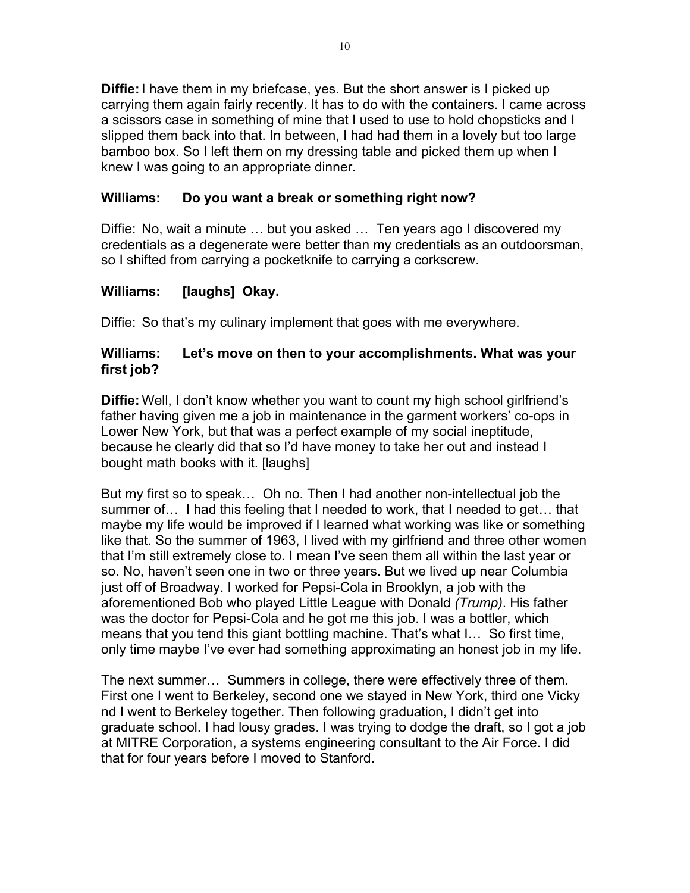**Diffie:** I have them in my briefcase, yes. But the short answer is I picked up carrying them again fairly recently. It has to do with the containers. I came across a scissors case in something of mine that I used to use to hold chopsticks and I slipped them back into that. In between, I had had them in a lovely but too large bamboo box. So I left them on my dressing table and picked them up when I knew I was going to an appropriate dinner.

# **Williams: Do you want a break or something right now?**

Diffie: No, wait a minute … but you asked … Ten years ago I discovered my credentials as a degenerate were better than my credentials as an outdoorsman, so I shifted from carrying a pocketknife to carrying a corkscrew.

## **Williams: [laughs] Okay.**

Diffie: So that's my culinary implement that goes with me everywhere.

#### **Williams: Let's move on then to your accomplishments. What was your first job?**

**Diffie:** Well, I don't know whether you want to count my high school girlfriend's father having given me a job in maintenance in the garment workers' co-ops in Lower New York, but that was a perfect example of my social ineptitude, because he clearly did that so I'd have money to take her out and instead I bought math books with it. [laughs]

But my first so to speak… Oh no. Then I had another non-intellectual job the summer of… I had this feeling that I needed to work, that I needed to get… that maybe my life would be improved if I learned what working was like or something like that. So the summer of 1963, I lived with my girlfriend and three other women that I'm still extremely close to. I mean I've seen them all within the last year or so. No, haven't seen one in two or three years. But we lived up near Columbia just off of Broadway. I worked for Pepsi-Cola in Brooklyn, a job with the aforementioned Bob who played Little League with Donald *(Trump)*. His father was the doctor for Pepsi-Cola and he got me this job. I was a bottler, which means that you tend this giant bottling machine. That's what I… So first time, only time maybe I've ever had something approximating an honest job in my life.

The next summer… Summers in college, there were effectively three of them. First one I went to Berkeley, second one we stayed in New York, third one Vicky nd I went to Berkeley together. Then following graduation, I didn't get into graduate school. I had lousy grades. I was trying to dodge the draft, so I got a job at MITRE Corporation, a systems engineering consultant to the Air Force. I did that for four years before I moved to Stanford.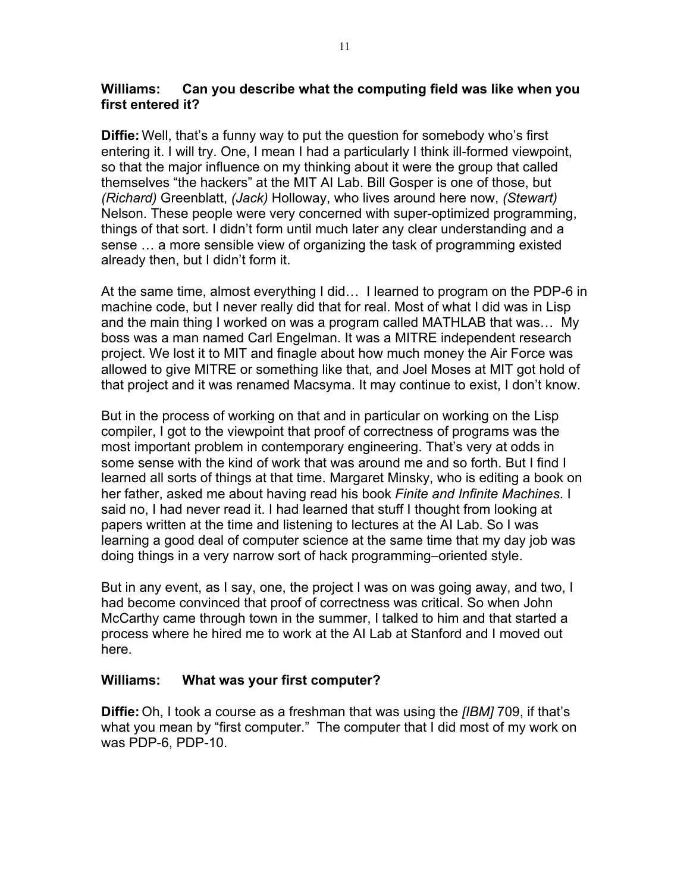#### **Williams: Can you describe what the computing field was like when you first entered it?**

**Diffie:** Well, that's a funny way to put the question for somebody who's first entering it. I will try. One, I mean I had a particularly I think ill-formed viewpoint, so that the major influence on my thinking about it were the group that called themselves "the hackers" at the MIT AI Lab. Bill Gosper is one of those, but *(Richard)* Greenblatt, *(Jack)* Holloway, who lives around here now, *(Stewart)* Nelson. These people were very concerned with super-optimized programming, things of that sort. I didn't form until much later any clear understanding and a sense … a more sensible view of organizing the task of programming existed already then, but I didn't form it.

At the same time, almost everything I did… I learned to program on the PDP-6 in machine code, but I never really did that for real. Most of what I did was in Lisp and the main thing I worked on was a program called MATHLAB that was… My boss was a man named Carl Engelman. It was a MITRE independent research project. We lost it to MIT and finagle about how much money the Air Force was allowed to give MITRE or something like that, and Joel Moses at MIT got hold of that project and it was renamed Macsyma. It may continue to exist, I don't know.

But in the process of working on that and in particular on working on the Lisp compiler, I got to the viewpoint that proof of correctness of programs was the most important problem in contemporary engineering. That's very at odds in some sense with the kind of work that was around me and so forth. But I find I learned all sorts of things at that time. Margaret Minsky, who is editing a book on her father, asked me about having read his book *Finite and Infinite Machines*. I said no, I had never read it. I had learned that stuff I thought from looking at papers written at the time and listening to lectures at the AI Lab. So I was learning a good deal of computer science at the same time that my day job was doing things in a very narrow sort of hack programming–oriented style.

But in any event, as I say, one, the project I was on was going away, and two, I had become convinced that proof of correctness was critical. So when John McCarthy came through town in the summer, I talked to him and that started a process where he hired me to work at the AI Lab at Stanford and I moved out here.

#### **Williams: What was your first computer?**

**Diffie:** Oh, I took a course as a freshman that was using the *[IBM]* 709, if that's what you mean by "first computer." The computer that I did most of my work on was PDP-6, PDP-10.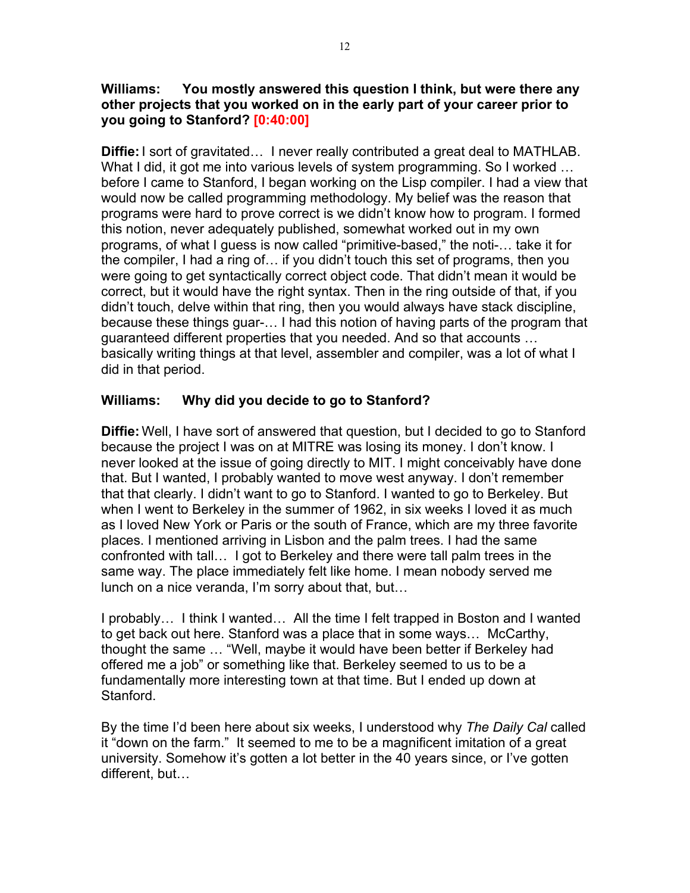#### **Williams: You mostly answered this question I think, but were there any other projects that you worked on in the early part of your career prior to you going to Stanford? [0:40:00]**

**Diffie:** I sort of gravitated… I never really contributed a great deal to MATHLAB. What I did, it got me into various levels of system programming. So I worked ... before I came to Stanford, I began working on the Lisp compiler. I had a view that would now be called programming methodology. My belief was the reason that programs were hard to prove correct is we didn't know how to program. I formed this notion, never adequately published, somewhat worked out in my own programs, of what I guess is now called "primitive-based," the noti-… take it for the compiler, I had a ring of… if you didn't touch this set of programs, then you were going to get syntactically correct object code. That didn't mean it would be correct, but it would have the right syntax. Then in the ring outside of that, if you didn't touch, delve within that ring, then you would always have stack discipline, because these things guar-… I had this notion of having parts of the program that guaranteed different properties that you needed. And so that accounts … basically writing things at that level, assembler and compiler, was a lot of what I did in that period.

# **Williams: Why did you decide to go to Stanford?**

**Diffie:** Well, I have sort of answered that question, but I decided to go to Stanford because the project I was on at MITRE was losing its money. I don't know. I never looked at the issue of going directly to MIT. I might conceivably have done that. But I wanted, I probably wanted to move west anyway. I don't remember that that clearly. I didn't want to go to Stanford. I wanted to go to Berkeley. But when I went to Berkeley in the summer of 1962, in six weeks I loved it as much as I loved New York or Paris or the south of France, which are my three favorite places. I mentioned arriving in Lisbon and the palm trees. I had the same confronted with tall… I got to Berkeley and there were tall palm trees in the same way. The place immediately felt like home. I mean nobody served me lunch on a nice veranda, I'm sorry about that, but…

I probably… I think I wanted… All the time I felt trapped in Boston and I wanted to get back out here. Stanford was a place that in some ways… McCarthy, thought the same … "Well, maybe it would have been better if Berkeley had offered me a job" or something like that. Berkeley seemed to us to be a fundamentally more interesting town at that time. But I ended up down at Stanford.

By the time I'd been here about six weeks, I understood why *The Daily Cal* called it "down on the farm." It seemed to me to be a magnificent imitation of a great university. Somehow it's gotten a lot better in the 40 years since, or I've gotten different, but…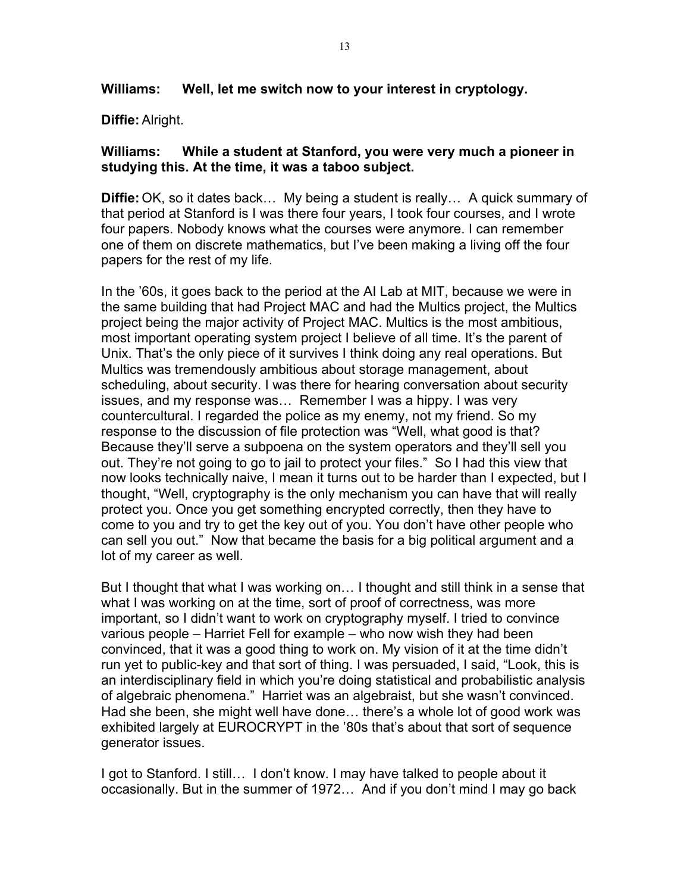**Williams: Well, let me switch now to your interest in cryptology.**

**Diffie:** Alright.

#### **Williams: While a student at Stanford, you were very much a pioneer in studying this. At the time, it was a taboo subject.**

**Diffie:** OK, so it dates back… My being a student is really… A quick summary of that period at Stanford is I was there four years, I took four courses, and I wrote four papers. Nobody knows what the courses were anymore. I can remember one of them on discrete mathematics, but I've been making a living off the four papers for the rest of my life.

In the '60s, it goes back to the period at the AI Lab at MIT, because we were in the same building that had Project MAC and had the Multics project, the Multics project being the major activity of Project MAC. Multics is the most ambitious, most important operating system project I believe of all time. It's the parent of Unix. That's the only piece of it survives I think doing any real operations. But Multics was tremendously ambitious about storage management, about scheduling, about security. I was there for hearing conversation about security issues, and my response was… Remember I was a hippy. I was very countercultural. I regarded the police as my enemy, not my friend. So my response to the discussion of file protection was "Well, what good is that? Because they'll serve a subpoena on the system operators and they'll sell you out. They're not going to go to jail to protect your files." So I had this view that now looks technically naive, I mean it turns out to be harder than I expected, but I thought, "Well, cryptography is the only mechanism you can have that will really protect you. Once you get something encrypted correctly, then they have to come to you and try to get the key out of you. You don't have other people who can sell you out." Now that became the basis for a big political argument and a lot of my career as well.

But I thought that what I was working on… I thought and still think in a sense that what I was working on at the time, sort of proof of correctness, was more important, so I didn't want to work on cryptography myself. I tried to convince various people – Harriet Fell for example – who now wish they had been convinced, that it was a good thing to work on. My vision of it at the time didn't run yet to public-key and that sort of thing. I was persuaded, I said, "Look, this is an interdisciplinary field in which you're doing statistical and probabilistic analysis of algebraic phenomena." Harriet was an algebraist, but she wasn't convinced. Had she been, she might well have done… there's a whole lot of good work was exhibited largely at EUROCRYPT in the '80s that's about that sort of sequence generator issues.

I got to Stanford. I still… I don't know. I may have talked to people about it occasionally. But in the summer of 1972… And if you don't mind I may go back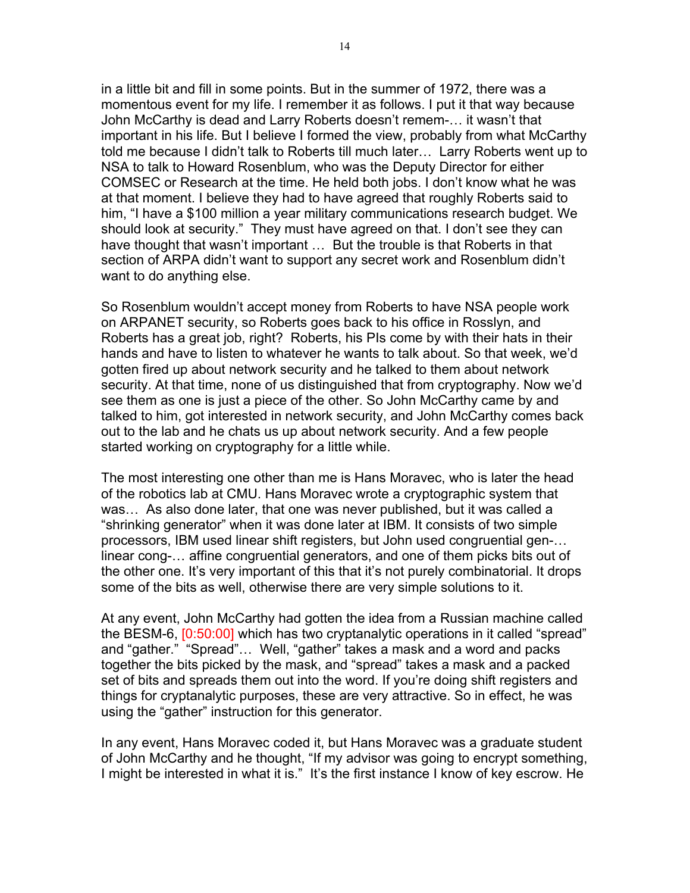in a little bit and fill in some points. But in the summer of 1972, there was a momentous event for my life. I remember it as follows. I put it that way because John McCarthy is dead and Larry Roberts doesn't remem-… it wasn't that important in his life. But I believe I formed the view, probably from what McCarthy told me because I didn't talk to Roberts till much later… Larry Roberts went up to NSA to talk to Howard Rosenblum, who was the Deputy Director for either COMSEC or Research at the time. He held both jobs. I don't know what he was at that moment. I believe they had to have agreed that roughly Roberts said to him, "I have a \$100 million a year military communications research budget. We should look at security." They must have agreed on that. I don't see they can have thought that wasn't important … But the trouble is that Roberts in that section of ARPA didn't want to support any secret work and Rosenblum didn't want to do anything else.

So Rosenblum wouldn't accept money from Roberts to have NSA people work on ARPANET security, so Roberts goes back to his office in Rosslyn, and Roberts has a great job, right? Roberts, his PIs come by with their hats in their hands and have to listen to whatever he wants to talk about. So that week, we'd gotten fired up about network security and he talked to them about network security. At that time, none of us distinguished that from cryptography. Now we'd see them as one is just a piece of the other. So John McCarthy came by and talked to him, got interested in network security, and John McCarthy comes back out to the lab and he chats us up about network security. And a few people started working on cryptography for a little while.

The most interesting one other than me is Hans Moravec, who is later the head of the robotics lab at CMU. Hans Moravec wrote a cryptographic system that was… As also done later, that one was never published, but it was called a "shrinking generator" when it was done later at IBM. It consists of two simple processors, IBM used linear shift registers, but John used congruential gen-… linear cong-… affine congruential generators, and one of them picks bits out of the other one. It's very important of this that it's not purely combinatorial. It drops some of the bits as well, otherwise there are very simple solutions to it.

At any event, John McCarthy had gotten the idea from a Russian machine called the BESM-6, [0:50:00] which has two cryptanalytic operations in it called "spread" and "gather." "Spread"… Well, "gather" takes a mask and a word and packs together the bits picked by the mask, and "spread" takes a mask and a packed set of bits and spreads them out into the word. If you're doing shift registers and things for cryptanalytic purposes, these are very attractive. So in effect, he was using the "gather" instruction for this generator.

In any event, Hans Moravec coded it, but Hans Moravec was a graduate student of John McCarthy and he thought, "If my advisor was going to encrypt something, I might be interested in what it is." It's the first instance I know of key escrow. He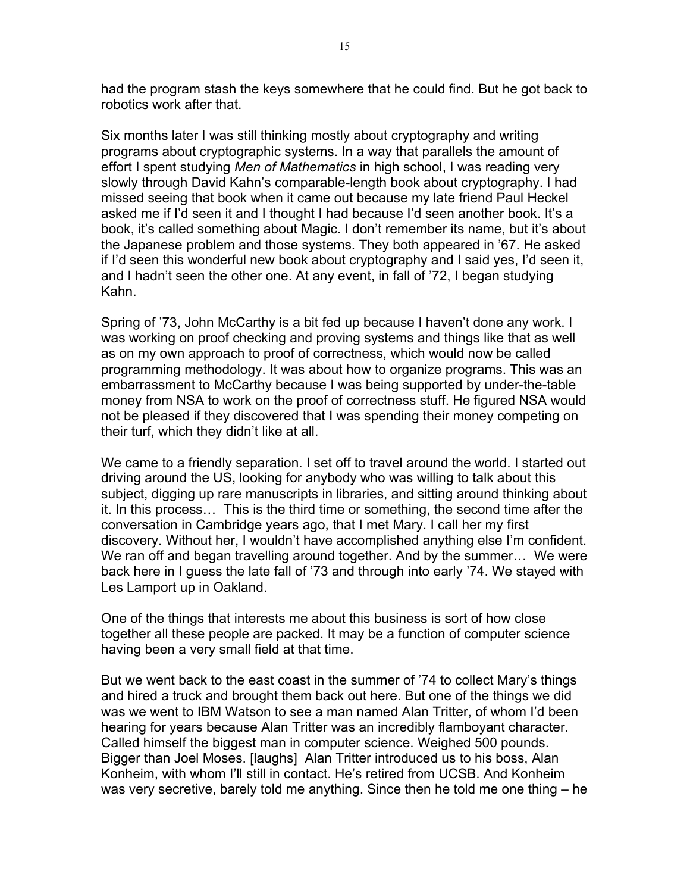had the program stash the keys somewhere that he could find. But he got back to robotics work after that.

Six months later I was still thinking mostly about cryptography and writing programs about cryptographic systems. In a way that parallels the amount of effort I spent studying *Men of Mathematics* in high school, I was reading very slowly through David Kahn's comparable-length book about cryptography. I had missed seeing that book when it came out because my late friend Paul Heckel asked me if I'd seen it and I thought I had because I'd seen another book. It's a book, it's called something about Magic. I don't remember its name, but it's about the Japanese problem and those systems. They both appeared in '67. He asked if I'd seen this wonderful new book about cryptography and I said yes, I'd seen it, and I hadn't seen the other one. At any event, in fall of '72, I began studying Kahn.

Spring of '73, John McCarthy is a bit fed up because I haven't done any work. I was working on proof checking and proving systems and things like that as well as on my own approach to proof of correctness, which would now be called programming methodology. It was about how to organize programs. This was an embarrassment to McCarthy because I was being supported by under-the-table money from NSA to work on the proof of correctness stuff. He figured NSA would not be pleased if they discovered that I was spending their money competing on their turf, which they didn't like at all.

We came to a friendly separation. I set off to travel around the world. I started out driving around the US, looking for anybody who was willing to talk about this subject, digging up rare manuscripts in libraries, and sitting around thinking about it. In this process… This is the third time or something, the second time after the conversation in Cambridge years ago, that I met Mary. I call her my first discovery. Without her, I wouldn't have accomplished anything else I'm confident. We ran off and began travelling around together. And by the summer... We were back here in I guess the late fall of '73 and through into early '74. We stayed with Les Lamport up in Oakland.

One of the things that interests me about this business is sort of how close together all these people are packed. It may be a function of computer science having been a very small field at that time.

But we went back to the east coast in the summer of '74 to collect Mary's things and hired a truck and brought them back out here. But one of the things we did was we went to IBM Watson to see a man named Alan Tritter, of whom I'd been hearing for years because Alan Tritter was an incredibly flamboyant character. Called himself the biggest man in computer science. Weighed 500 pounds. Bigger than Joel Moses. [laughs] Alan Tritter introduced us to his boss, Alan Konheim, with whom I'll still in contact. He's retired from UCSB. And Konheim was very secretive, barely told me anything. Since then he told me one thing – he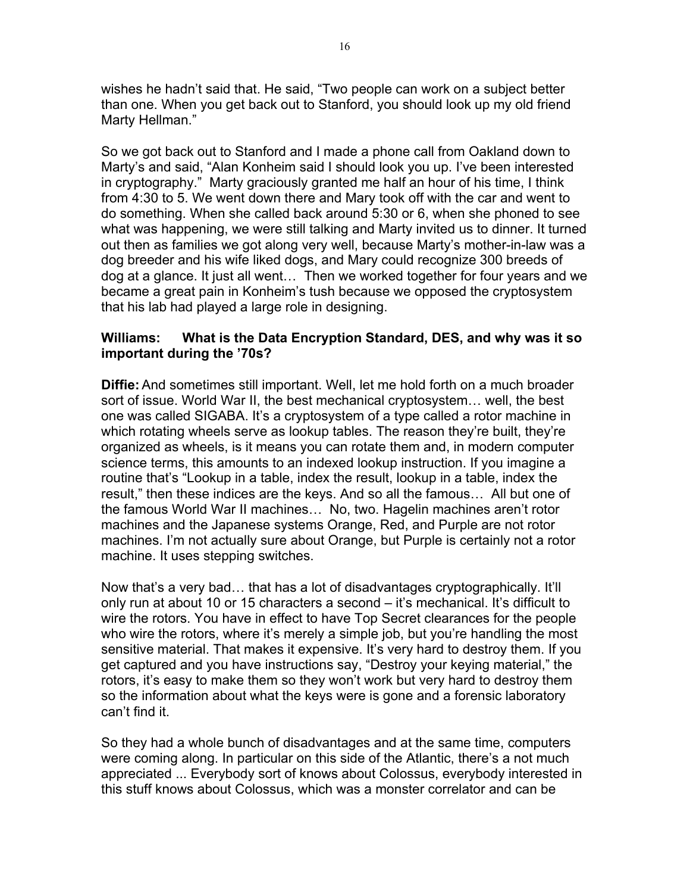wishes he hadn't said that. He said, "Two people can work on a subject better than one. When you get back out to Stanford, you should look up my old friend Marty Hellman."

So we got back out to Stanford and I made a phone call from Oakland down to Marty's and said, "Alan Konheim said I should look you up. I've been interested in cryptography." Marty graciously granted me half an hour of his time, I think from 4:30 to 5. We went down there and Mary took off with the car and went to do something. When she called back around 5:30 or 6, when she phoned to see what was happening, we were still talking and Marty invited us to dinner. It turned out then as families we got along very well, because Marty's mother-in-law was a dog breeder and his wife liked dogs, and Mary could recognize 300 breeds of dog at a glance. It just all went… Then we worked together for four years and we became a great pain in Konheim's tush because we opposed the cryptosystem that his lab had played a large role in designing.

## **Williams: What is the Data Encryption Standard, DES, and why was it so important during the '70s?**

**Diffie:** And sometimes still important. Well, let me hold forth on a much broader sort of issue. World War II, the best mechanical cryptosystem… well, the best one was called SIGABA. It's a cryptosystem of a type called a rotor machine in which rotating wheels serve as lookup tables. The reason they're built, they're organized as wheels, is it means you can rotate them and, in modern computer science terms, this amounts to an indexed lookup instruction. If you imagine a routine that's "Lookup in a table, index the result, lookup in a table, index the result," then these indices are the keys. And so all the famous… All but one of the famous World War II machines… No, two. Hagelin machines aren't rotor machines and the Japanese systems Orange, Red, and Purple are not rotor machines. I'm not actually sure about Orange, but Purple is certainly not a rotor machine. It uses stepping switches.

Now that's a very bad… that has a lot of disadvantages cryptographically. It'll only run at about 10 or 15 characters a second – it's mechanical. It's difficult to wire the rotors. You have in effect to have Top Secret clearances for the people who wire the rotors, where it's merely a simple job, but you're handling the most sensitive material. That makes it expensive. It's very hard to destroy them. If you get captured and you have instructions say, "Destroy your keying material," the rotors, it's easy to make them so they won't work but very hard to destroy them so the information about what the keys were is gone and a forensic laboratory can't find it.

So they had a whole bunch of disadvantages and at the same time, computers were coming along. In particular on this side of the Atlantic, there's a not much appreciated ... Everybody sort of knows about Colossus, everybody interested in this stuff knows about Colossus, which was a monster correlator and can be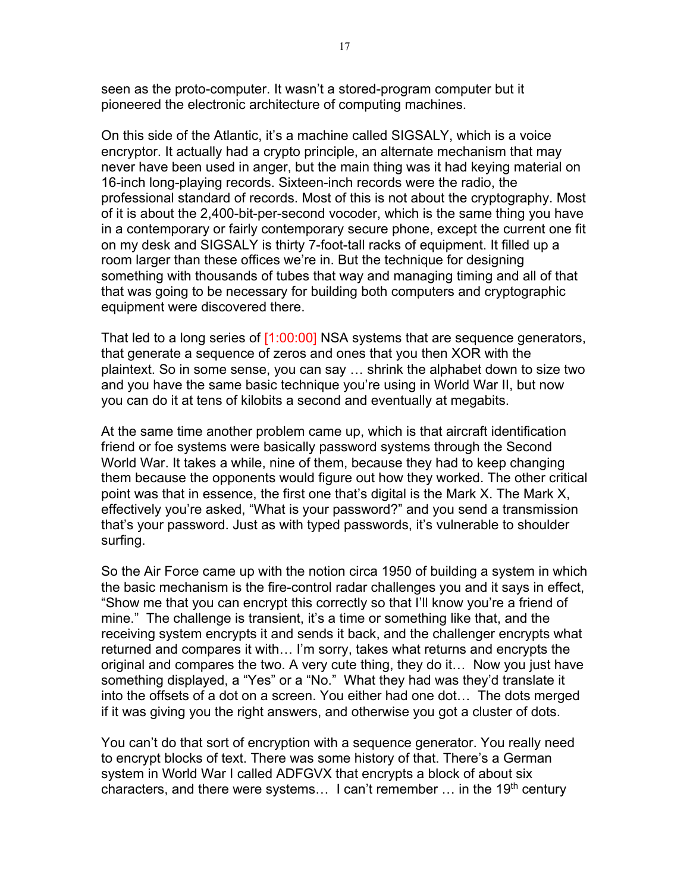seen as the proto-computer. It wasn't a stored-program computer but it pioneered the electronic architecture of computing machines.

On this side of the Atlantic, it's a machine called SIGSALY, which is a voice encryptor. It actually had a crypto principle, an alternate mechanism that may never have been used in anger, but the main thing was it had keying material on 16-inch long-playing records. Sixteen-inch records were the radio, the professional standard of records. Most of this is not about the cryptography. Most of it is about the 2,400-bit-per-second vocoder, which is the same thing you have in a contemporary or fairly contemporary secure phone, except the current one fit on my desk and SIGSALY is thirty 7-foot-tall racks of equipment. It filled up a room larger than these offices we're in. But the technique for designing something with thousands of tubes that way and managing timing and all of that that was going to be necessary for building both computers and cryptographic equipment were discovered there.

That led to a long series of [1:00:00] NSA systems that are sequence generators, that generate a sequence of zeros and ones that you then XOR with the plaintext. So in some sense, you can say … shrink the alphabet down to size two and you have the same basic technique you're using in World War II, but now you can do it at tens of kilobits a second and eventually at megabits.

At the same time another problem came up, which is that aircraft identification friend or foe systems were basically password systems through the Second World War. It takes a while, nine of them, because they had to keep changing them because the opponents would figure out how they worked. The other critical point was that in essence, the first one that's digital is the Mark X. The Mark X, effectively you're asked, "What is your password?" and you send a transmission that's your password. Just as with typed passwords, it's vulnerable to shoulder surfing.

So the Air Force came up with the notion circa 1950 of building a system in which the basic mechanism is the fire-control radar challenges you and it says in effect, "Show me that you can encrypt this correctly so that I'll know you're a friend of mine." The challenge is transient, it's a time or something like that, and the receiving system encrypts it and sends it back, and the challenger encrypts what returned and compares it with… I'm sorry, takes what returns and encrypts the original and compares the two. A very cute thing, they do it… Now you just have something displayed, a "Yes" or a "No." What they had was they'd translate it into the offsets of a dot on a screen. You either had one dot… The dots merged if it was giving you the right answers, and otherwise you got a cluster of dots.

You can't do that sort of encryption with a sequence generator. You really need to encrypt blocks of text. There was some history of that. There's a German system in World War I called ADFGVX that encrypts a block of about six characters, and there were systems... I can't remember  $\ldots$  in the 19<sup>th</sup> century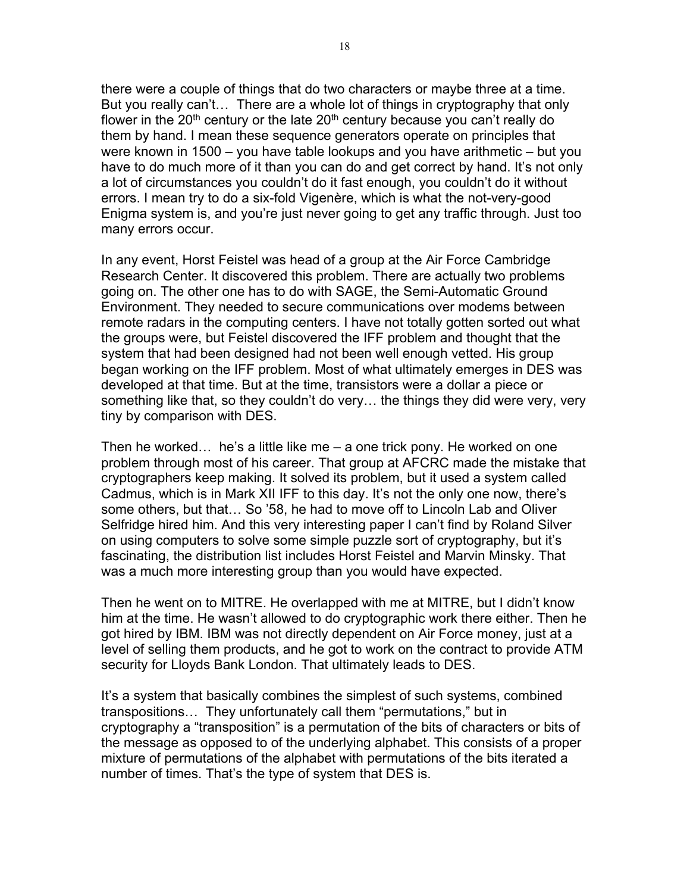there were a couple of things that do two characters or maybe three at a time. But you really can't… There are a whole lot of things in cryptography that only flower in the 20<sup>th</sup> century or the late  $20<sup>th</sup>$  century because you can't really do them by hand. I mean these sequence generators operate on principles that were known in 1500 – you have table lookups and you have arithmetic – but you have to do much more of it than you can do and get correct by hand. It's not only a lot of circumstances you couldn't do it fast enough, you couldn't do it without errors. I mean try to do a six-fold Vigenère, which is what the not-very-good Enigma system is, and you're just never going to get any traffic through. Just too many errors occur.

In any event, Horst Feistel was head of a group at the Air Force Cambridge Research Center. It discovered this problem. There are actually two problems going on. The other one has to do with SAGE, the Semi-Automatic Ground Environment. They needed to secure communications over modems between remote radars in the computing centers. I have not totally gotten sorted out what the groups were, but Feistel discovered the IFF problem and thought that the system that had been designed had not been well enough vetted. His group began working on the IFF problem. Most of what ultimately emerges in DES was developed at that time. But at the time, transistors were a dollar a piece or something like that, so they couldn't do very… the things they did were very, very tiny by comparison with DES.

Then he worked… he's a little like me – a one trick pony. He worked on one problem through most of his career. That group at AFCRC made the mistake that cryptographers keep making. It solved its problem, but it used a system called Cadmus, which is in Mark XII IFF to this day. It's not the only one now, there's some others, but that… So '58, he had to move off to Lincoln Lab and Oliver Selfridge hired him. And this very interesting paper I can't find by Roland Silver on using computers to solve some simple puzzle sort of cryptography, but it's fascinating, the distribution list includes Horst Feistel and Marvin Minsky. That was a much more interesting group than you would have expected.

Then he went on to MITRE. He overlapped with me at MITRE, but I didn't know him at the time. He wasn't allowed to do cryptographic work there either. Then he got hired by IBM. IBM was not directly dependent on Air Force money, just at a level of selling them products, and he got to work on the contract to provide ATM security for Lloyds Bank London. That ultimately leads to DES.

It's a system that basically combines the simplest of such systems, combined transpositions… They unfortunately call them "permutations," but in cryptography a "transposition" is a permutation of the bits of characters or bits of the message as opposed to of the underlying alphabet. This consists of a proper mixture of permutations of the alphabet with permutations of the bits iterated a number of times. That's the type of system that DES is.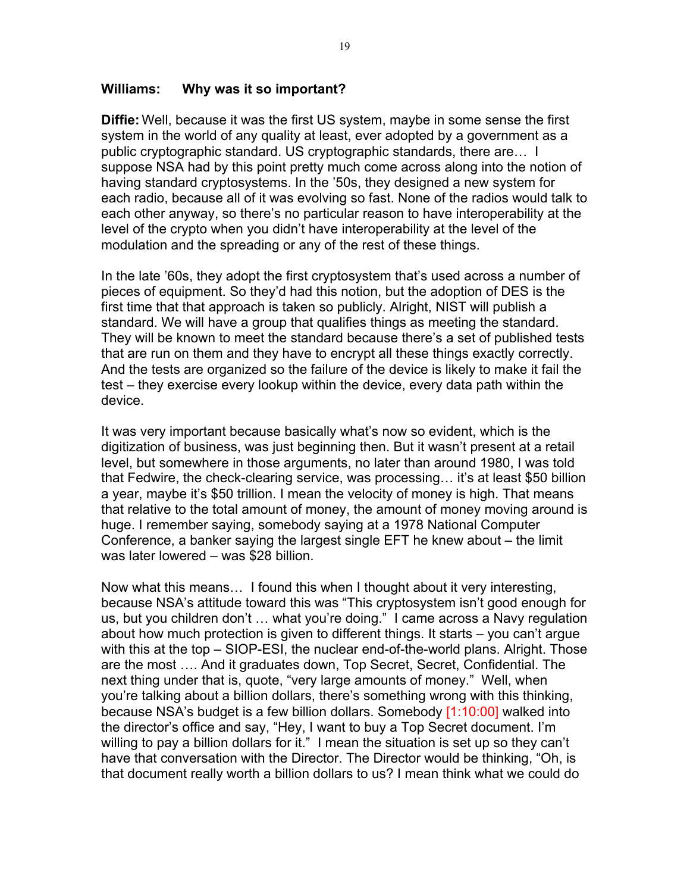#### **Williams: Why was it so important?**

**Diffie:** Well, because it was the first US system, maybe in some sense the first system in the world of any quality at least, ever adopted by a government as a public cryptographic standard. US cryptographic standards, there are… I suppose NSA had by this point pretty much come across along into the notion of having standard cryptosystems. In the '50s, they designed a new system for each radio, because all of it was evolving so fast. None of the radios would talk to each other anyway, so there's no particular reason to have interoperability at the level of the crypto when you didn't have interoperability at the level of the modulation and the spreading or any of the rest of these things.

In the late '60s, they adopt the first cryptosystem that's used across a number of pieces of equipment. So they'd had this notion, but the adoption of DES is the first time that that approach is taken so publicly. Alright, NIST will publish a standard. We will have a group that qualifies things as meeting the standard. They will be known to meet the standard because there's a set of published tests that are run on them and they have to encrypt all these things exactly correctly. And the tests are organized so the failure of the device is likely to make it fail the test – they exercise every lookup within the device, every data path within the device.

It was very important because basically what's now so evident, which is the digitization of business, was just beginning then. But it wasn't present at a retail level, but somewhere in those arguments, no later than around 1980, I was told that Fedwire, the check-clearing service, was processing… it's at least \$50 billion a year, maybe it's \$50 trillion. I mean the velocity of money is high. That means that relative to the total amount of money, the amount of money moving around is huge. I remember saying, somebody saying at a 1978 National Computer Conference, a banker saying the largest single EFT he knew about – the limit was later lowered – was \$28 billion.

Now what this means… I found this when I thought about it very interesting, because NSA's attitude toward this was "This cryptosystem isn't good enough for us, but you children don't … what you're doing." I came across a Navy regulation about how much protection is given to different things. It starts – you can't argue with this at the top – SIOP-ESI, the nuclear end-of-the-world plans. Alright. Those are the most …. And it graduates down, Top Secret, Secret, Confidential. The next thing under that is, quote, "very large amounts of money." Well, when you're talking about a billion dollars, there's something wrong with this thinking, because NSA's budget is a few billion dollars. Somebody [1:10:00] walked into the director's office and say, "Hey, I want to buy a Top Secret document. I'm willing to pay a billion dollars for it." I mean the situation is set up so they can't have that conversation with the Director. The Director would be thinking, "Oh, is that document really worth a billion dollars to us? I mean think what we could do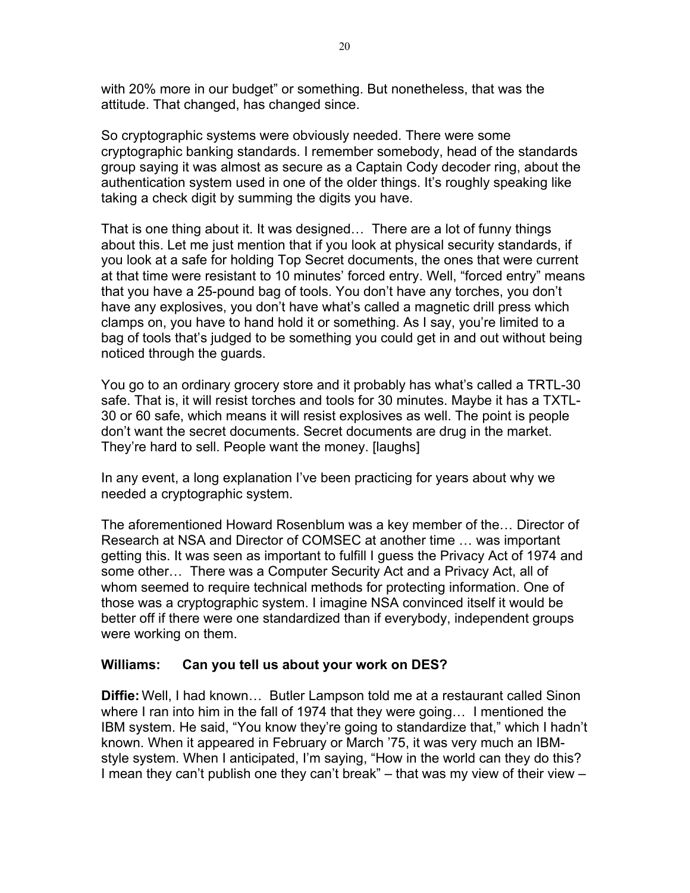with 20% more in our budget" or something. But nonetheless, that was the attitude. That changed, has changed since.

So cryptographic systems were obviously needed. There were some cryptographic banking standards. I remember somebody, head of the standards group saying it was almost as secure as a Captain Cody decoder ring, about the authentication system used in one of the older things. It's roughly speaking like taking a check digit by summing the digits you have.

That is one thing about it. It was designed… There are a lot of funny things about this. Let me just mention that if you look at physical security standards, if you look at a safe for holding Top Secret documents, the ones that were current at that time were resistant to 10 minutes' forced entry. Well, "forced entry" means that you have a 25-pound bag of tools. You don't have any torches, you don't have any explosives, you don't have what's called a magnetic drill press which clamps on, you have to hand hold it or something. As I say, you're limited to a bag of tools that's judged to be something you could get in and out without being noticed through the guards.

You go to an ordinary grocery store and it probably has what's called a TRTL-30 safe. That is, it will resist torches and tools for 30 minutes. Maybe it has a TXTL-30 or 60 safe, which means it will resist explosives as well. The point is people don't want the secret documents. Secret documents are drug in the market. They're hard to sell. People want the money. [laughs]

In any event, a long explanation I've been practicing for years about why we needed a cryptographic system.

The aforementioned Howard Rosenblum was a key member of the… Director of Research at NSA and Director of COMSEC at another time … was important getting this. It was seen as important to fulfill I guess the Privacy Act of 1974 and some other… There was a Computer Security Act and a Privacy Act, all of whom seemed to require technical methods for protecting information. One of those was a cryptographic system. I imagine NSA convinced itself it would be better off if there were one standardized than if everybody, independent groups were working on them.

# **Williams: Can you tell us about your work on DES?**

**Diffie:** Well, I had known… Butler Lampson told me at a restaurant called Sinon where I ran into him in the fall of 1974 that they were going… I mentioned the IBM system. He said, "You know they're going to standardize that," which I hadn't known. When it appeared in February or March '75, it was very much an IBMstyle system. When I anticipated, I'm saying, "How in the world can they do this? I mean they can't publish one they can't break" – that was my view of their view –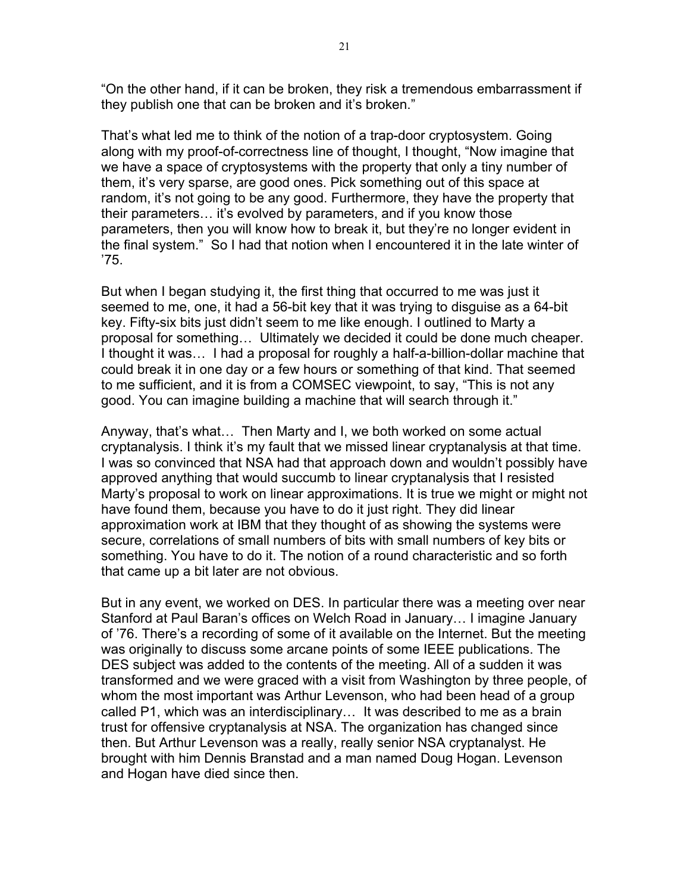"On the other hand, if it can be broken, they risk a tremendous embarrassment if they publish one that can be broken and it's broken."

That's what led me to think of the notion of a trap-door cryptosystem. Going along with my proof-of-correctness line of thought, I thought, "Now imagine that we have a space of cryptosystems with the property that only a tiny number of them, it's very sparse, are good ones. Pick something out of this space at random, it's not going to be any good. Furthermore, they have the property that their parameters… it's evolved by parameters, and if you know those parameters, then you will know how to break it, but they're no longer evident in the final system." So I had that notion when I encountered it in the late winter of '75.

But when I began studying it, the first thing that occurred to me was just it seemed to me, one, it had a 56-bit key that it was trying to disguise as a 64-bit key. Fifty-six bits just didn't seem to me like enough. I outlined to Marty a proposal for something… Ultimately we decided it could be done much cheaper. I thought it was… I had a proposal for roughly a half-a-billion-dollar machine that could break it in one day or a few hours or something of that kind. That seemed to me sufficient, and it is from a COMSEC viewpoint, to say, "This is not any good. You can imagine building a machine that will search through it."

Anyway, that's what… Then Marty and I, we both worked on some actual cryptanalysis. I think it's my fault that we missed linear cryptanalysis at that time. I was so convinced that NSA had that approach down and wouldn't possibly have approved anything that would succumb to linear cryptanalysis that I resisted Marty's proposal to work on linear approximations. It is true we might or might not have found them, because you have to do it just right. They did linear approximation work at IBM that they thought of as showing the systems were secure, correlations of small numbers of bits with small numbers of key bits or something. You have to do it. The notion of a round characteristic and so forth that came up a bit later are not obvious.

But in any event, we worked on DES. In particular there was a meeting over near Stanford at Paul Baran's offices on Welch Road in January… I imagine January of '76. There's a recording of some of it available on the Internet. But the meeting was originally to discuss some arcane points of some IEEE publications. The DES subject was added to the contents of the meeting. All of a sudden it was transformed and we were graced with a visit from Washington by three people, of whom the most important was Arthur Levenson, who had been head of a group called P1, which was an interdisciplinary… It was described to me as a brain trust for offensive cryptanalysis at NSA. The organization has changed since then. But Arthur Levenson was a really, really senior NSA cryptanalyst. He brought with him Dennis Branstad and a man named Doug Hogan. Levenson and Hogan have died since then.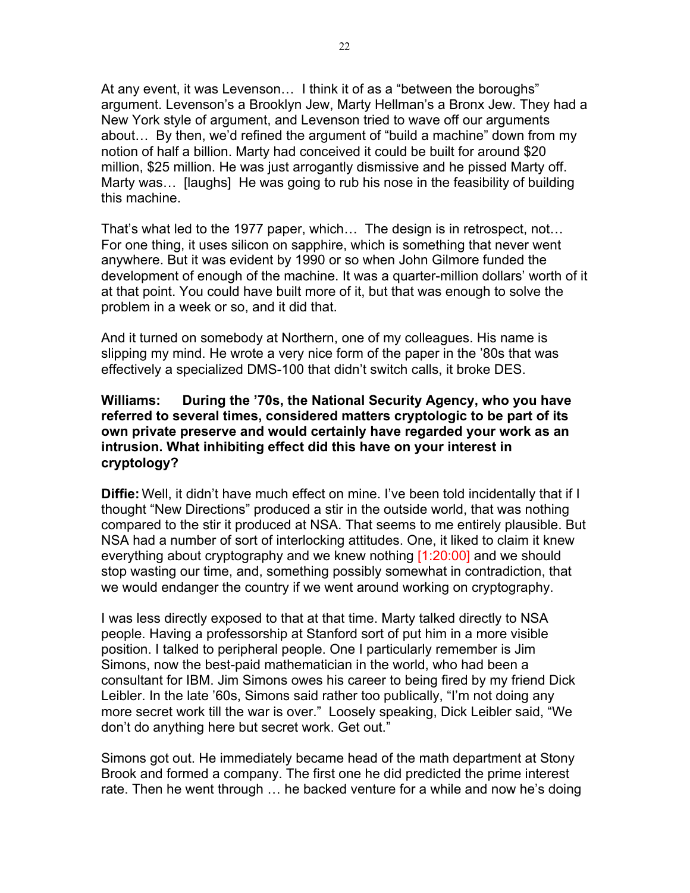At any event, it was Levenson… I think it of as a "between the boroughs" argument. Levenson's a Brooklyn Jew, Marty Hellman's a Bronx Jew. They had a New York style of argument, and Levenson tried to wave off our arguments about… By then, we'd refined the argument of "build a machine" down from my notion of half a billion. Marty had conceived it could be built for around \$20 million, \$25 million. He was just arrogantly dismissive and he pissed Marty off. Marty was… [laughs] He was going to rub his nose in the feasibility of building this machine.

That's what led to the 1977 paper, which… The design is in retrospect, not… For one thing, it uses silicon on sapphire, which is something that never went anywhere. But it was evident by 1990 or so when John Gilmore funded the development of enough of the machine. It was a quarter-million dollars' worth of it at that point. You could have built more of it, but that was enough to solve the problem in a week or so, and it did that.

And it turned on somebody at Northern, one of my colleagues. His name is slipping my mind. He wrote a very nice form of the paper in the '80s that was effectively a specialized DMS-100 that didn't switch calls, it broke DES.

#### **Williams: During the '70s, the National Security Agency, who you have referred to several times, considered matters cryptologic to be part of its own private preserve and would certainly have regarded your work as an intrusion. What inhibiting effect did this have on your interest in cryptology?**

**Diffie:** Well, it didn't have much effect on mine. I've been told incidentally that if I thought "New Directions" produced a stir in the outside world, that was nothing compared to the stir it produced at NSA. That seems to me entirely plausible. But NSA had a number of sort of interlocking attitudes. One, it liked to claim it knew everything about cryptography and we knew nothing [1:20:00] and we should stop wasting our time, and, something possibly somewhat in contradiction, that we would endanger the country if we went around working on cryptography.

I was less directly exposed to that at that time. Marty talked directly to NSA people. Having a professorship at Stanford sort of put him in a more visible position. I talked to peripheral people. One I particularly remember is Jim Simons, now the best-paid mathematician in the world, who had been a consultant for IBM. Jim Simons owes his career to being fired by my friend Dick Leibler. In the late '60s, Simons said rather too publically, "I'm not doing any more secret work till the war is over." Loosely speaking, Dick Leibler said, "We don't do anything here but secret work. Get out."

Simons got out. He immediately became head of the math department at Stony Brook and formed a company. The first one he did predicted the prime interest rate. Then he went through … he backed venture for a while and now he's doing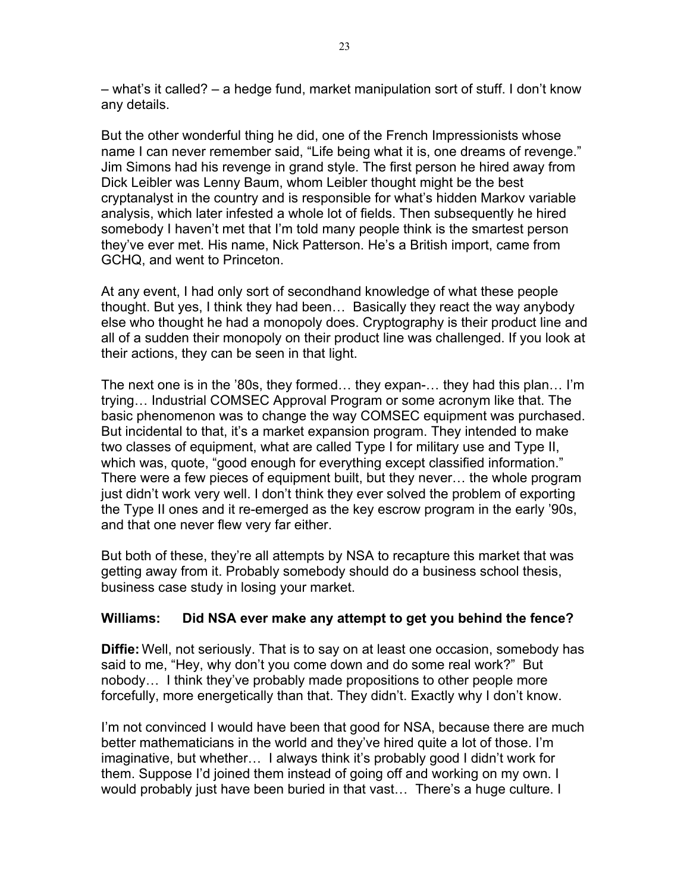– what's it called? – a hedge fund, market manipulation sort of stuff. I don't know any details.

But the other wonderful thing he did, one of the French Impressionists whose name I can never remember said, "Life being what it is, one dreams of revenge." Jim Simons had his revenge in grand style. The first person he hired away from Dick Leibler was Lenny Baum, whom Leibler thought might be the best cryptanalyst in the country and is responsible for what's hidden Markov variable analysis, which later infested a whole lot of fields. Then subsequently he hired somebody I haven't met that I'm told many people think is the smartest person they've ever met. His name, Nick Patterson. He's a British import, came from GCHQ, and went to Princeton.

At any event, I had only sort of secondhand knowledge of what these people thought. But yes, I think they had been… Basically they react the way anybody else who thought he had a monopoly does. Cryptography is their product line and all of a sudden their monopoly on their product line was challenged. If you look at their actions, they can be seen in that light.

The next one is in the '80s, they formed… they expan-… they had this plan… I'm trying… Industrial COMSEC Approval Program or some acronym like that. The basic phenomenon was to change the way COMSEC equipment was purchased. But incidental to that, it's a market expansion program. They intended to make two classes of equipment, what are called Type I for military use and Type II, which was, quote, "good enough for everything except classified information." There were a few pieces of equipment built, but they never… the whole program just didn't work very well. I don't think they ever solved the problem of exporting the Type II ones and it re-emerged as the key escrow program in the early '90s, and that one never flew very far either.

But both of these, they're all attempts by NSA to recapture this market that was getting away from it. Probably somebody should do a business school thesis, business case study in losing your market.

# **Williams: Did NSA ever make any attempt to get you behind the fence?**

**Diffie:** Well, not seriously. That is to say on at least one occasion, somebody has said to me, "Hey, why don't you come down and do some real work?" But nobody… I think they've probably made propositions to other people more forcefully, more energetically than that. They didn't. Exactly why I don't know.

I'm not convinced I would have been that good for NSA, because there are much better mathematicians in the world and they've hired quite a lot of those. I'm imaginative, but whether… I always think it's probably good I didn't work for them. Suppose I'd joined them instead of going off and working on my own. I would probably just have been buried in that vast… There's a huge culture. I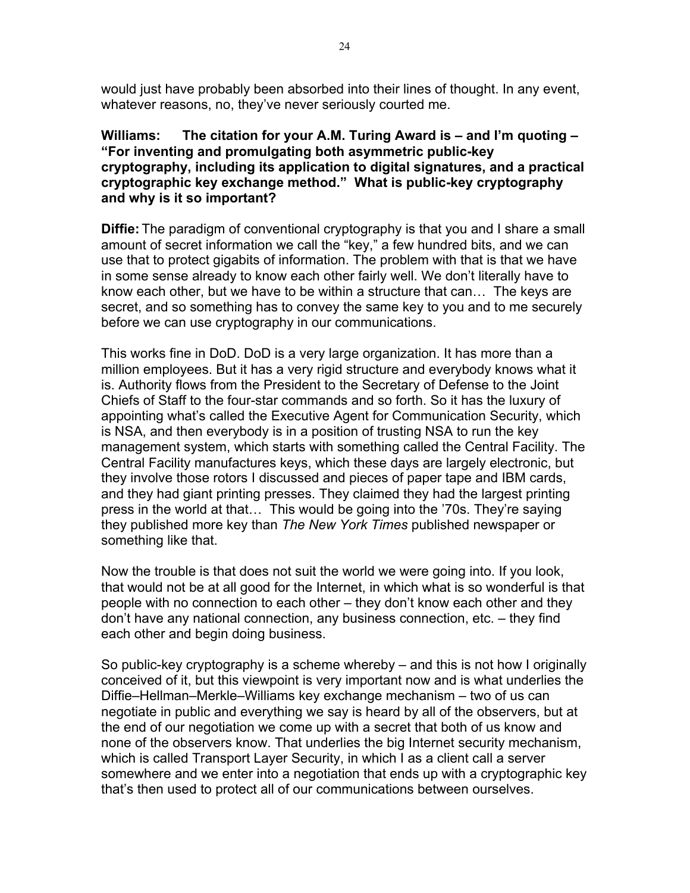would just have probably been absorbed into their lines of thought. In any event, whatever reasons, no, they've never seriously courted me.

**Williams: The citation for your A.M. Turing Award is – and I'm quoting – "For inventing and promulgating both asymmetric public-key cryptography, including its application to digital signatures, and a practical cryptographic key exchange method." What is public-key cryptography and why is it so important?**

**Diffie:** The paradigm of conventional cryptography is that you and I share a small amount of secret information we call the "key," a few hundred bits, and we can use that to protect gigabits of information. The problem with that is that we have in some sense already to know each other fairly well. We don't literally have to know each other, but we have to be within a structure that can… The keys are secret, and so something has to convey the same key to you and to me securely before we can use cryptography in our communications.

This works fine in DoD. DoD is a very large organization. It has more than a million employees. But it has a very rigid structure and everybody knows what it is. Authority flows from the President to the Secretary of Defense to the Joint Chiefs of Staff to the four-star commands and so forth. So it has the luxury of appointing what's called the Executive Agent for Communication Security, which is NSA, and then everybody is in a position of trusting NSA to run the key management system, which starts with something called the Central Facility. The Central Facility manufactures keys, which these days are largely electronic, but they involve those rotors I discussed and pieces of paper tape and IBM cards, and they had giant printing presses. They claimed they had the largest printing press in the world at that… This would be going into the '70s. They're saying they published more key than *The New York Times* published newspaper or something like that.

Now the trouble is that does not suit the world we were going into. If you look, that would not be at all good for the Internet, in which what is so wonderful is that people with no connection to each other – they don't know each other and they don't have any national connection, any business connection, etc. – they find each other and begin doing business.

So public-key cryptography is a scheme whereby – and this is not how I originally conceived of it, but this viewpoint is very important now and is what underlies the Diffie–Hellman–Merkle–Williams key exchange mechanism – two of us can negotiate in public and everything we say is heard by all of the observers, but at the end of our negotiation we come up with a secret that both of us know and none of the observers know. That underlies the big Internet security mechanism, which is called Transport Layer Security, in which I as a client call a server somewhere and we enter into a negotiation that ends up with a cryptographic key that's then used to protect all of our communications between ourselves.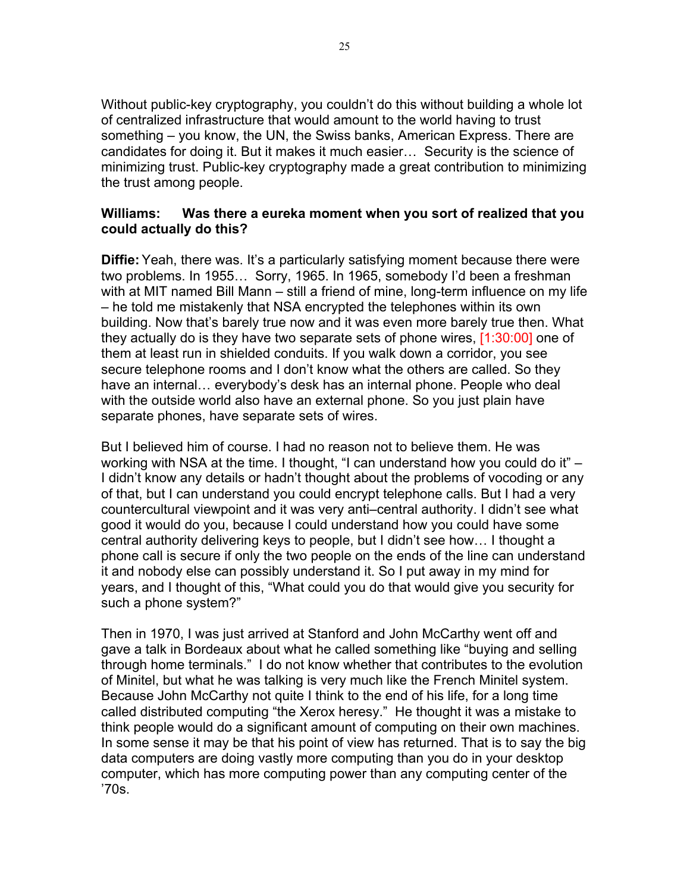Without public-key cryptography, you couldn't do this without building a whole lot of centralized infrastructure that would amount to the world having to trust something – you know, the UN, the Swiss banks, American Express. There are candidates for doing it. But it makes it much easier… Security is the science of minimizing trust. Public-key cryptography made a great contribution to minimizing the trust among people.

#### **Williams: Was there a eureka moment when you sort of realized that you could actually do this?**

**Diffie:** Yeah, there was. It's a particularly satisfying moment because there were two problems. In 1955… Sorry, 1965. In 1965, somebody I'd been a freshman with at MIT named Bill Mann – still a friend of mine, long-term influence on my life – he told me mistakenly that NSA encrypted the telephones within its own building. Now that's barely true now and it was even more barely true then. What they actually do is they have two separate sets of phone wires, [1:30:00] one of them at least run in shielded conduits. If you walk down a corridor, you see secure telephone rooms and I don't know what the others are called. So they have an internal… everybody's desk has an internal phone. People who deal with the outside world also have an external phone. So you just plain have separate phones, have separate sets of wires.

But I believed him of course. I had no reason not to believe them. He was working with NSA at the time. I thought, "I can understand how you could do it" – I didn't know any details or hadn't thought about the problems of vocoding or any of that, but I can understand you could encrypt telephone calls. But I had a very countercultural viewpoint and it was very anti–central authority. I didn't see what good it would do you, because I could understand how you could have some central authority delivering keys to people, but I didn't see how… I thought a phone call is secure if only the two people on the ends of the line can understand it and nobody else can possibly understand it. So I put away in my mind for years, and I thought of this, "What could you do that would give you security for such a phone system?"

Then in 1970, I was just arrived at Stanford and John McCarthy went off and gave a talk in Bordeaux about what he called something like "buying and selling through home terminals." I do not know whether that contributes to the evolution of Minitel, but what he was talking is very much like the French Minitel system. Because John McCarthy not quite I think to the end of his life, for a long time called distributed computing "the Xerox heresy." He thought it was a mistake to think people would do a significant amount of computing on their own machines. In some sense it may be that his point of view has returned. That is to say the big data computers are doing vastly more computing than you do in your desktop computer, which has more computing power than any computing center of the '70s.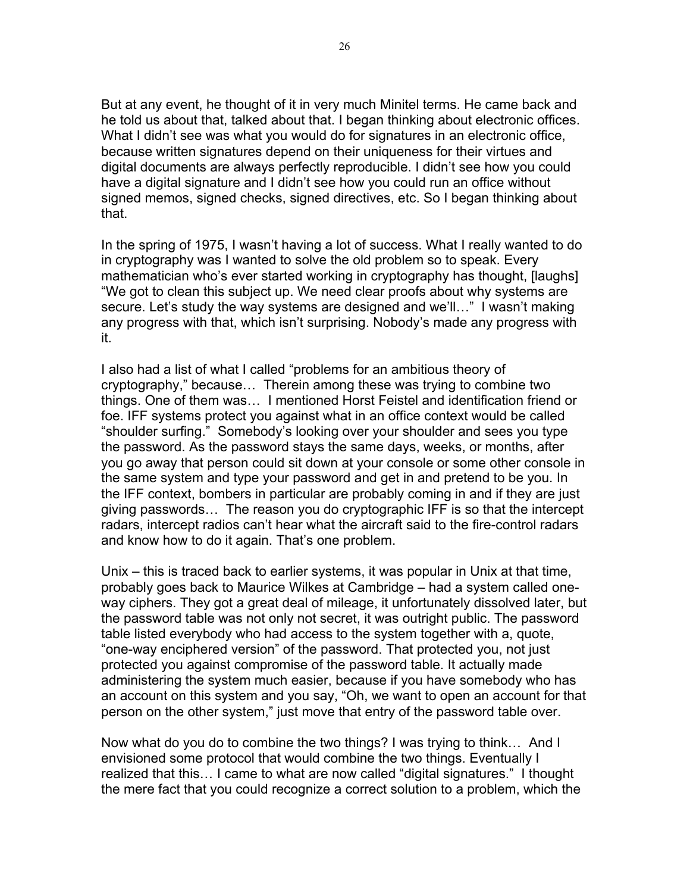But at any event, he thought of it in very much Minitel terms. He came back and he told us about that, talked about that. I began thinking about electronic offices. What I didn't see was what you would do for signatures in an electronic office, because written signatures depend on their uniqueness for their virtues and digital documents are always perfectly reproducible. I didn't see how you could have a digital signature and I didn't see how you could run an office without signed memos, signed checks, signed directives, etc. So I began thinking about that.

In the spring of 1975, I wasn't having a lot of success. What I really wanted to do in cryptography was I wanted to solve the old problem so to speak. Every mathematician who's ever started working in cryptography has thought, [laughs] "We got to clean this subject up. We need clear proofs about why systems are secure. Let's study the way systems are designed and we'll…" I wasn't making any progress with that, which isn't surprising. Nobody's made any progress with it.

I also had a list of what I called "problems for an ambitious theory of cryptography," because… Therein among these was trying to combine two things. One of them was… I mentioned Horst Feistel and identification friend or foe. IFF systems protect you against what in an office context would be called "shoulder surfing." Somebody's looking over your shoulder and sees you type the password. As the password stays the same days, weeks, or months, after you go away that person could sit down at your console or some other console in the same system and type your password and get in and pretend to be you. In the IFF context, bombers in particular are probably coming in and if they are just giving passwords… The reason you do cryptographic IFF is so that the intercept radars, intercept radios can't hear what the aircraft said to the fire-control radars and know how to do it again. That's one problem.

Unix – this is traced back to earlier systems, it was popular in Unix at that time, probably goes back to Maurice Wilkes at Cambridge – had a system called oneway ciphers. They got a great deal of mileage, it unfortunately dissolved later, but the password table was not only not secret, it was outright public. The password table listed everybody who had access to the system together with a, quote, "one-way enciphered version" of the password. That protected you, not just protected you against compromise of the password table. It actually made administering the system much easier, because if you have somebody who has an account on this system and you say, "Oh, we want to open an account for that person on the other system," just move that entry of the password table over.

Now what do you do to combine the two things? I was trying to think… And I envisioned some protocol that would combine the two things. Eventually I realized that this… I came to what are now called "digital signatures." I thought the mere fact that you could recognize a correct solution to a problem, which the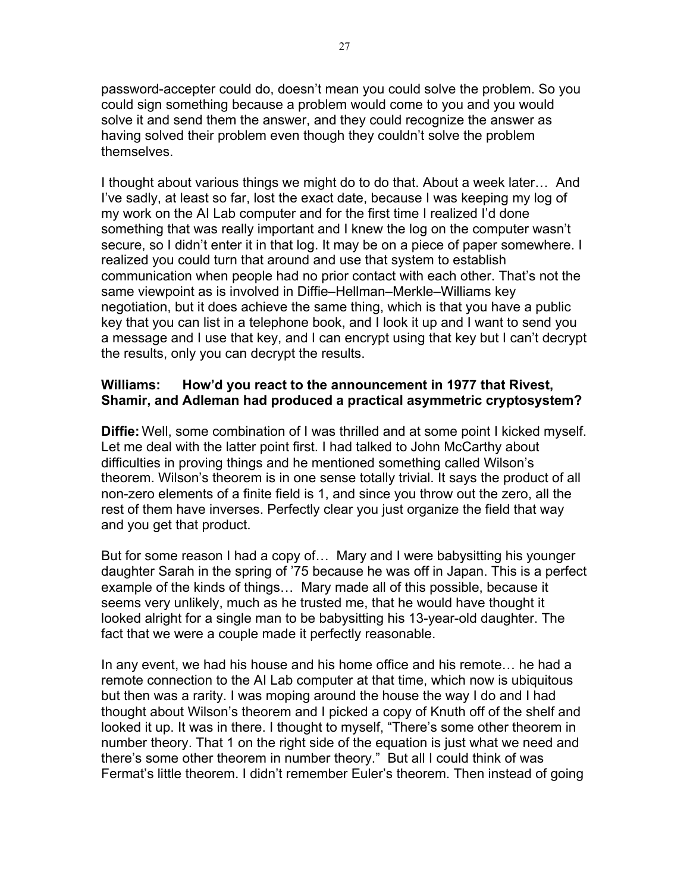password-accepter could do, doesn't mean you could solve the problem. So you could sign something because a problem would come to you and you would solve it and send them the answer, and they could recognize the answer as having solved their problem even though they couldn't solve the problem themselves.

I thought about various things we might do to do that. About a week later… And I've sadly, at least so far, lost the exact date, because I was keeping my log of my work on the AI Lab computer and for the first time I realized I'd done something that was really important and I knew the log on the computer wasn't secure, so I didn't enter it in that log. It may be on a piece of paper somewhere. I realized you could turn that around and use that system to establish communication when people had no prior contact with each other. That's not the same viewpoint as is involved in Diffie–Hellman–Merkle–Williams key negotiation, but it does achieve the same thing, which is that you have a public key that you can list in a telephone book, and I look it up and I want to send you a message and I use that key, and I can encrypt using that key but I can't decrypt the results, only you can decrypt the results.

#### **Williams: How'd you react to the announcement in 1977 that Rivest, Shamir, and Adleman had produced a practical asymmetric cryptosystem?**

**Diffie:** Well, some combination of I was thrilled and at some point I kicked myself. Let me deal with the latter point first. I had talked to John McCarthy about difficulties in proving things and he mentioned something called Wilson's theorem. Wilson's theorem is in one sense totally trivial. It says the product of all non-zero elements of a finite field is 1, and since you throw out the zero, all the rest of them have inverses. Perfectly clear you just organize the field that way and you get that product.

But for some reason I had a copy of… Mary and I were babysitting his younger daughter Sarah in the spring of '75 because he was off in Japan. This is a perfect example of the kinds of things… Mary made all of this possible, because it seems very unlikely, much as he trusted me, that he would have thought it looked alright for a single man to be babysitting his 13-year-old daughter. The fact that we were a couple made it perfectly reasonable.

In any event, we had his house and his home office and his remote… he had a remote connection to the AI Lab computer at that time, which now is ubiquitous but then was a rarity. I was moping around the house the way I do and I had thought about Wilson's theorem and I picked a copy of Knuth off of the shelf and looked it up. It was in there. I thought to myself, "There's some other theorem in number theory. That 1 on the right side of the equation is just what we need and there's some other theorem in number theory." But all I could think of was Fermat's little theorem. I didn't remember Euler's theorem. Then instead of going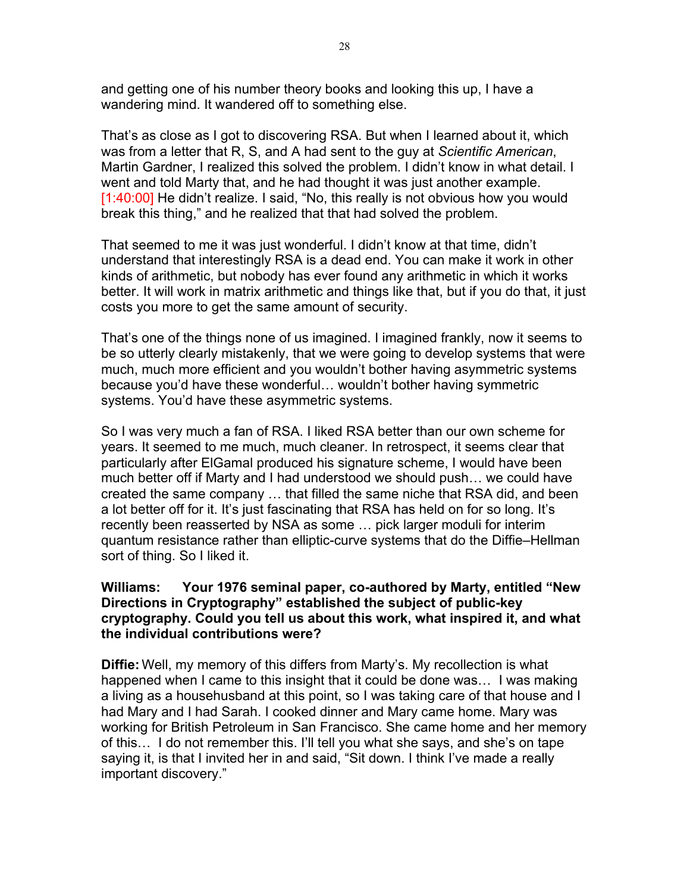and getting one of his number theory books and looking this up, I have a wandering mind. It wandered off to something else.

That's as close as I got to discovering RSA. But when I learned about it, which was from a letter that R, S, and A had sent to the guy at *Scientific American*, Martin Gardner, I realized this solved the problem. I didn't know in what detail. I went and told Marty that, and he had thought it was just another example. [1:40:00] He didn't realize. I said, "No, this really is not obvious how you would break this thing," and he realized that that had solved the problem.

That seemed to me it was just wonderful. I didn't know at that time, didn't understand that interestingly RSA is a dead end. You can make it work in other kinds of arithmetic, but nobody has ever found any arithmetic in which it works better. It will work in matrix arithmetic and things like that, but if you do that, it just costs you more to get the same amount of security.

That's one of the things none of us imagined. I imagined frankly, now it seems to be so utterly clearly mistakenly, that we were going to develop systems that were much, much more efficient and you wouldn't bother having asymmetric systems because you'd have these wonderful… wouldn't bother having symmetric systems. You'd have these asymmetric systems.

So I was very much a fan of RSA. I liked RSA better than our own scheme for years. It seemed to me much, much cleaner. In retrospect, it seems clear that particularly after ElGamal produced his signature scheme, I would have been much better off if Marty and I had understood we should push… we could have created the same company … that filled the same niche that RSA did, and been a lot better off for it. It's just fascinating that RSA has held on for so long. It's recently been reasserted by NSA as some … pick larger moduli for interim quantum resistance rather than elliptic-curve systems that do the Diffie–Hellman sort of thing. So I liked it.

#### **Williams: Your 1976 seminal paper, co-authored by Marty, entitled "New Directions in Cryptography" established the subject of public-key cryptography. Could you tell us about this work, what inspired it, and what the individual contributions were?**

**Diffie:** Well, my memory of this differs from Marty's. My recollection is what happened when I came to this insight that it could be done was… I was making a living as a househusband at this point, so I was taking care of that house and I had Mary and I had Sarah. I cooked dinner and Mary came home. Mary was working for British Petroleum in San Francisco. She came home and her memory of this… I do not remember this. I'll tell you what she says, and she's on tape saying it, is that I invited her in and said, "Sit down. I think I've made a really important discovery."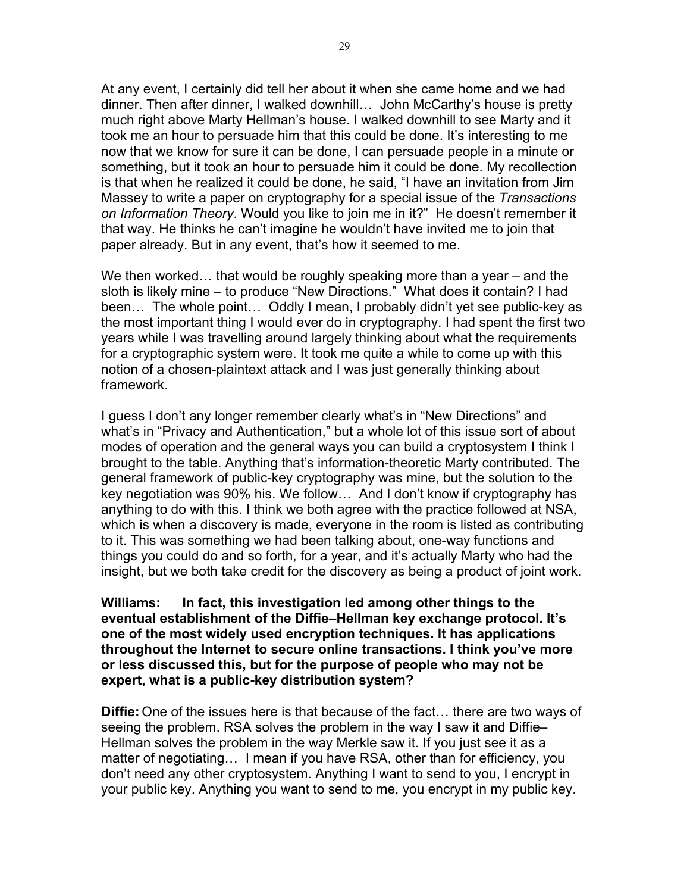At any event, I certainly did tell her about it when she came home and we had dinner. Then after dinner, I walked downhill… John McCarthy's house is pretty much right above Marty Hellman's house. I walked downhill to see Marty and it took me an hour to persuade him that this could be done. It's interesting to me now that we know for sure it can be done, I can persuade people in a minute or something, but it took an hour to persuade him it could be done. My recollection is that when he realized it could be done, he said, "I have an invitation from Jim Massey to write a paper on cryptography for a special issue of the *Transactions on Information Theory*. Would you like to join me in it?" He doesn't remember it that way. He thinks he can't imagine he wouldn't have invited me to join that paper already. But in any event, that's how it seemed to me.

We then worked… that would be roughly speaking more than a year – and the sloth is likely mine – to produce "New Directions." What does it contain? I had been… The whole point… Oddly I mean, I probably didn't yet see public-key as the most important thing I would ever do in cryptography. I had spent the first two years while I was travelling around largely thinking about what the requirements for a cryptographic system were. It took me quite a while to come up with this notion of a chosen-plaintext attack and I was just generally thinking about framework.

I guess I don't any longer remember clearly what's in "New Directions" and what's in "Privacy and Authentication," but a whole lot of this issue sort of about modes of operation and the general ways you can build a cryptosystem I think I brought to the table. Anything that's information-theoretic Marty contributed. The general framework of public-key cryptography was mine, but the solution to the key negotiation was 90% his. We follow… And I don't know if cryptography has anything to do with this. I think we both agree with the practice followed at NSA, which is when a discovery is made, everyone in the room is listed as contributing to it. This was something we had been talking about, one-way functions and things you could do and so forth, for a year, and it's actually Marty who had the insight, but we both take credit for the discovery as being a product of joint work.

**Williams: In fact, this investigation led among other things to the eventual establishment of the Diffie–Hellman key exchange protocol. It's one of the most widely used encryption techniques. It has applications throughout the Internet to secure online transactions. I think you've more or less discussed this, but for the purpose of people who may not be expert, what is a public-key distribution system?**

**Diffie:** One of the issues here is that because of the fact… there are two ways of seeing the problem. RSA solves the problem in the way I saw it and Diffie– Hellman solves the problem in the way Merkle saw it. If you just see it as a matter of negotiating… I mean if you have RSA, other than for efficiency, you don't need any other cryptosystem. Anything I want to send to you, I encrypt in your public key. Anything you want to send to me, you encrypt in my public key.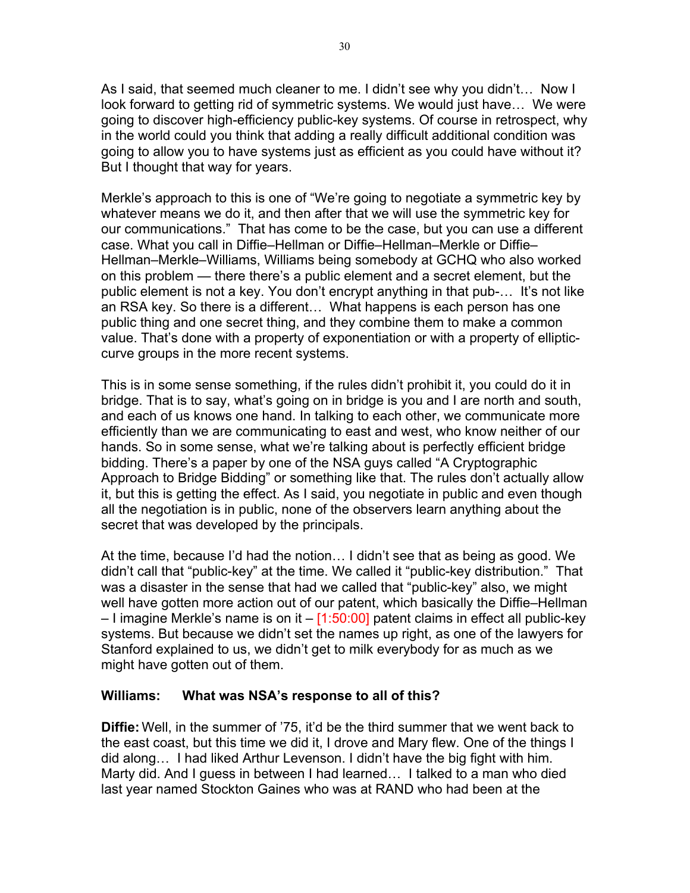As I said, that seemed much cleaner to me. I didn't see why you didn't… Now I look forward to getting rid of symmetric systems. We would just have… We were going to discover high-efficiency public-key systems. Of course in retrospect, why in the world could you think that adding a really difficult additional condition was going to allow you to have systems just as efficient as you could have without it? But I thought that way for years.

Merkle's approach to this is one of "We're going to negotiate a symmetric key by whatever means we do it, and then after that we will use the symmetric key for our communications." That has come to be the case, but you can use a different case. What you call in Diffie–Hellman or Diffie–Hellman–Merkle or Diffie– Hellman–Merkle–Williams, Williams being somebody at GCHQ who also worked on this problem — there there's a public element and a secret element, but the public element is not a key. You don't encrypt anything in that pub-… It's not like an RSA key. So there is a different… What happens is each person has one public thing and one secret thing, and they combine them to make a common value. That's done with a property of exponentiation or with a property of ellipticcurve groups in the more recent systems.

This is in some sense something, if the rules didn't prohibit it, you could do it in bridge. That is to say, what's going on in bridge is you and I are north and south, and each of us knows one hand. In talking to each other, we communicate more efficiently than we are communicating to east and west, who know neither of our hands. So in some sense, what we're talking about is perfectly efficient bridge bidding. There's a paper by one of the NSA guys called "A Cryptographic Approach to Bridge Bidding" or something like that. The rules don't actually allow it, but this is getting the effect. As I said, you negotiate in public and even though all the negotiation is in public, none of the observers learn anything about the secret that was developed by the principals.

At the time, because I'd had the notion… I didn't see that as being as good. We didn't call that "public-key" at the time. We called it "public-key distribution." That was a disaster in the sense that had we called that "public-key" also, we might well have gotten more action out of our patent, which basically the Diffie–Hellman  $-1$  imagine Merkle's name is on it  $-$  [1:50:00] patent claims in effect all public-key systems. But because we didn't set the names up right, as one of the lawyers for Stanford explained to us, we didn't get to milk everybody for as much as we might have gotten out of them.

#### **Williams: What was NSA's response to all of this?**

**Diffie:** Well, in the summer of '75, it'd be the third summer that we went back to the east coast, but this time we did it, I drove and Mary flew. One of the things I did along… I had liked Arthur Levenson. I didn't have the big fight with him. Marty did. And I guess in between I had learned… I talked to a man who died last year named Stockton Gaines who was at RAND who had been at the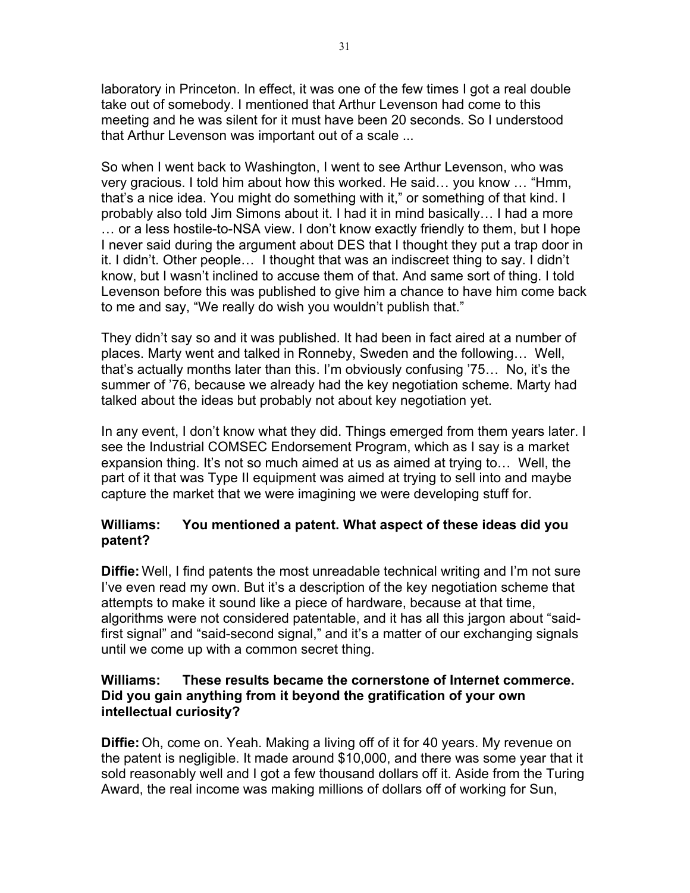laboratory in Princeton. In effect, it was one of the few times I got a real double take out of somebody. I mentioned that Arthur Levenson had come to this meeting and he was silent for it must have been 20 seconds. So I understood that Arthur Levenson was important out of a scale ...

So when I went back to Washington, I went to see Arthur Levenson, who was very gracious. I told him about how this worked. He said… you know … "Hmm, that's a nice idea. You might do something with it," or something of that kind. I probably also told Jim Simons about it. I had it in mind basically… I had a more … or a less hostile-to-NSA view. I don't know exactly friendly to them, but I hope I never said during the argument about DES that I thought they put a trap door in it. I didn't. Other people… I thought that was an indiscreet thing to say. I didn't know, but I wasn't inclined to accuse them of that. And same sort of thing. I told Levenson before this was published to give him a chance to have him come back to me and say, "We really do wish you wouldn't publish that."

They didn't say so and it was published. It had been in fact aired at a number of places. Marty went and talked in Ronneby, Sweden and the following… Well, that's actually months later than this. I'm obviously confusing '75… No, it's the summer of '76, because we already had the key negotiation scheme. Marty had talked about the ideas but probably not about key negotiation yet.

In any event, I don't know what they did. Things emerged from them years later. I see the Industrial COMSEC Endorsement Program, which as I say is a market expansion thing. It's not so much aimed at us as aimed at trying to… Well, the part of it that was Type II equipment was aimed at trying to sell into and maybe capture the market that we were imagining we were developing stuff for.

## **Williams: You mentioned a patent. What aspect of these ideas did you patent?**

**Diffie:** Well, I find patents the most unreadable technical writing and I'm not sure I've even read my own. But it's a description of the key negotiation scheme that attempts to make it sound like a piece of hardware, because at that time, algorithms were not considered patentable, and it has all this jargon about "saidfirst signal" and "said-second signal," and it's a matter of our exchanging signals until we come up with a common secret thing.

#### **Williams: These results became the cornerstone of Internet commerce. Did you gain anything from it beyond the gratification of your own intellectual curiosity?**

**Diffie:** Oh, come on. Yeah. Making a living off of it for 40 years. My revenue on the patent is negligible. It made around \$10,000, and there was some year that it sold reasonably well and I got a few thousand dollars off it. Aside from the Turing Award, the real income was making millions of dollars off of working for Sun,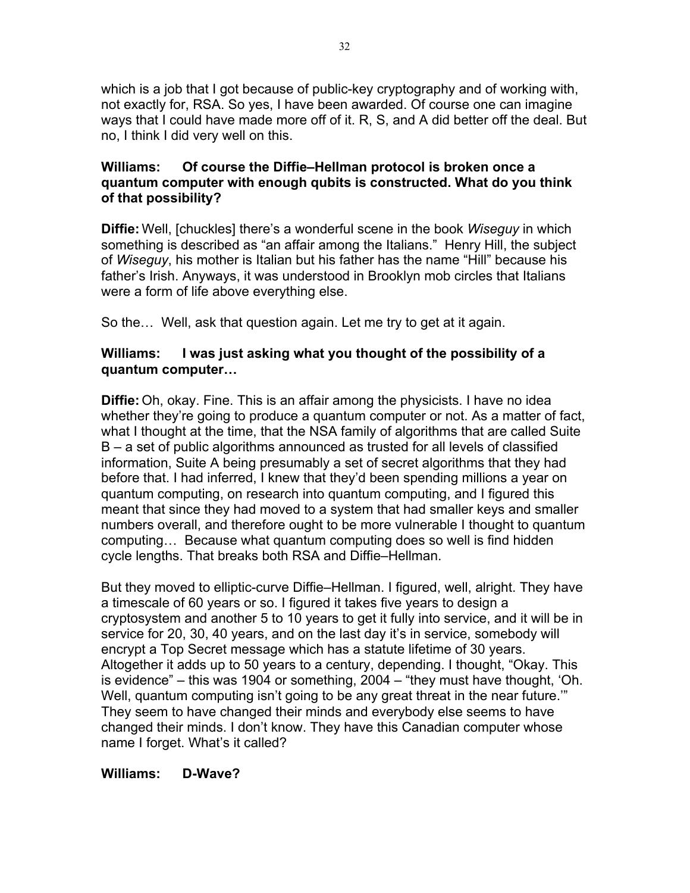which is a job that I got because of public-key cryptography and of working with, not exactly for, RSA. So yes, I have been awarded. Of course one can imagine ways that I could have made more off of it. R, S, and A did better off the deal. But no, I think I did very well on this.

### **Williams: Of course the Diffie–Hellman protocol is broken once a quantum computer with enough qubits is constructed. What do you think of that possibility?**

**Diffie:** Well, [chuckles] there's a wonderful scene in the book *Wiseguy* in which something is described as "an affair among the Italians." Henry Hill, the subject of *Wiseguy*, his mother is Italian but his father has the name "Hill" because his father's Irish. Anyways, it was understood in Brooklyn mob circles that Italians were a form of life above everything else.

So the… Well, ask that question again. Let me try to get at it again.

## **Williams: I was just asking what you thought of the possibility of a quantum computer…**

**Diffie:** Oh, okay. Fine. This is an affair among the physicists. I have no idea whether they're going to produce a quantum computer or not. As a matter of fact, what I thought at the time, that the NSA family of algorithms that are called Suite B – a set of public algorithms announced as trusted for all levels of classified information, Suite A being presumably a set of secret algorithms that they had before that. I had inferred, I knew that they'd been spending millions a year on quantum computing, on research into quantum computing, and I figured this meant that since they had moved to a system that had smaller keys and smaller numbers overall, and therefore ought to be more vulnerable I thought to quantum computing… Because what quantum computing does so well is find hidden cycle lengths. That breaks both RSA and Diffie–Hellman.

But they moved to elliptic-curve Diffie–Hellman. I figured, well, alright. They have a timescale of 60 years or so. I figured it takes five years to design a cryptosystem and another 5 to 10 years to get it fully into service, and it will be in service for 20, 30, 40 years, and on the last day it's in service, somebody will encrypt a Top Secret message which has a statute lifetime of 30 years. Altogether it adds up to 50 years to a century, depending. I thought, "Okay. This is evidence" – this was 1904 or something, 2004 – "they must have thought, 'Oh. Well, quantum computing isn't going to be any great threat in the near future." They seem to have changed their minds and everybody else seems to have changed their minds. I don't know. They have this Canadian computer whose name I forget. What's it called?

# **Williams: D-Wave?**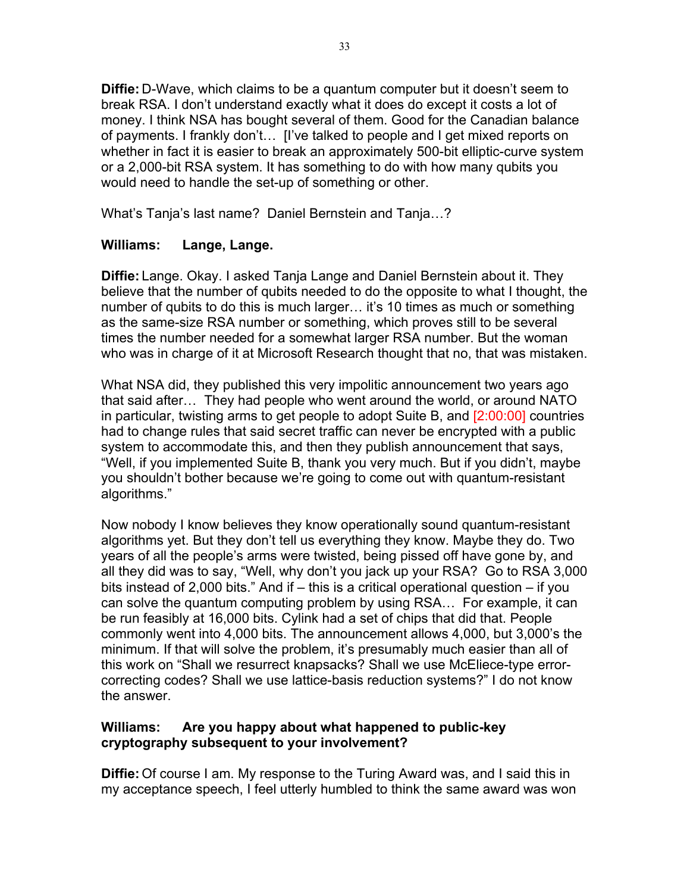**Diffie:** D-Wave, which claims to be a quantum computer but it doesn't seem to break RSA. I don't understand exactly what it does do except it costs a lot of money. I think NSA has bought several of them. Good for the Canadian balance of payments. I frankly don't… [I've talked to people and I get mixed reports on whether in fact it is easier to break an approximately 500-bit elliptic-curve system or a 2,000-bit RSA system. It has something to do with how many qubits you would need to handle the set-up of something or other.

What's Tanja's last name? Daniel Bernstein and Tanja…?

#### **Williams: Lange, Lange.**

**Diffie:** Lange. Okay. I asked Tanja Lange and Daniel Bernstein about it. They believe that the number of qubits needed to do the opposite to what I thought, the number of qubits to do this is much larger… it's 10 times as much or something as the same-size RSA number or something, which proves still to be several times the number needed for a somewhat larger RSA number. But the woman who was in charge of it at Microsoft Research thought that no, that was mistaken.

What NSA did, they published this very impolitic announcement two years ago that said after… They had people who went around the world, or around NATO in particular, twisting arms to get people to adopt Suite B, and [2:00:00] countries had to change rules that said secret traffic can never be encrypted with a public system to accommodate this, and then they publish announcement that says, "Well, if you implemented Suite B, thank you very much. But if you didn't, maybe you shouldn't bother because we're going to come out with quantum-resistant algorithms."

Now nobody I know believes they know operationally sound quantum-resistant algorithms yet. But they don't tell us everything they know. Maybe they do. Two years of all the people's arms were twisted, being pissed off have gone by, and all they did was to say, "Well, why don't you jack up your RSA? Go to RSA 3,000 bits instead of 2,000 bits." And if – this is a critical operational question – if you can solve the quantum computing problem by using RSA… For example, it can be run feasibly at 16,000 bits. Cylink had a set of chips that did that. People commonly went into 4,000 bits. The announcement allows 4,000, but 3,000's the minimum. If that will solve the problem, it's presumably much easier than all of this work on "Shall we resurrect knapsacks? Shall we use McEliece-type errorcorrecting codes? Shall we use lattice-basis reduction systems?" I do not know the answer.

#### **Williams: Are you happy about what happened to public-key cryptography subsequent to your involvement?**

**Diffie:** Of course I am. My response to the Turing Award was, and I said this in my acceptance speech, I feel utterly humbled to think the same award was won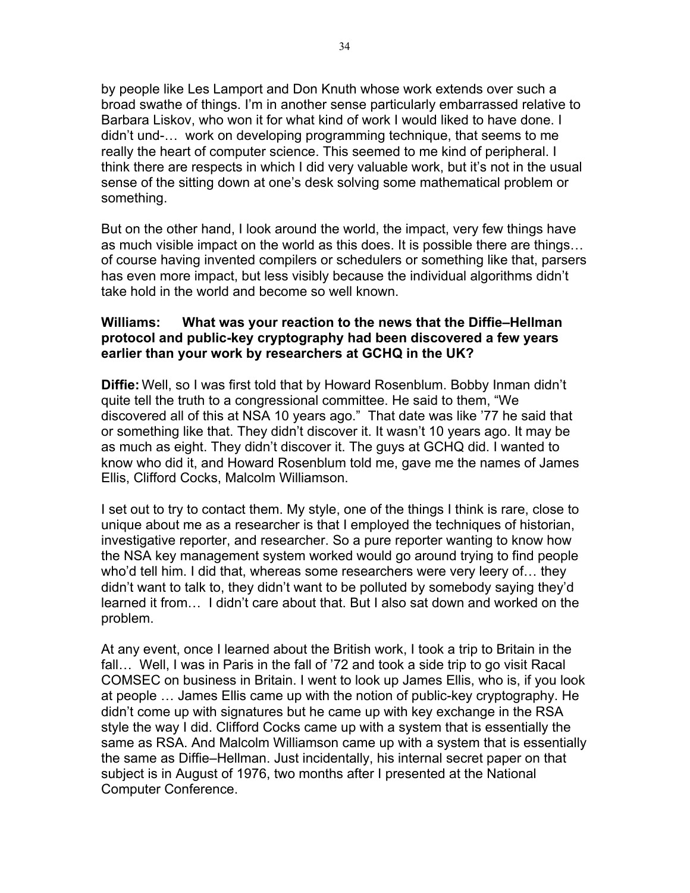by people like Les Lamport and Don Knuth whose work extends over such a broad swathe of things. I'm in another sense particularly embarrassed relative to Barbara Liskov, who won it for what kind of work I would liked to have done. I didn't und-… work on developing programming technique, that seems to me really the heart of computer science. This seemed to me kind of peripheral. I think there are respects in which I did very valuable work, but it's not in the usual sense of the sitting down at one's desk solving some mathematical problem or something.

But on the other hand, I look around the world, the impact, very few things have as much visible impact on the world as this does. It is possible there are things… of course having invented compilers or schedulers or something like that, parsers has even more impact, but less visibly because the individual algorithms didn't take hold in the world and become so well known.

#### **Williams: What was your reaction to the news that the Diffie–Hellman protocol and public-key cryptography had been discovered a few years earlier than your work by researchers at GCHQ in the UK?**

**Diffie:** Well, so I was first told that by Howard Rosenblum. Bobby Inman didn't quite tell the truth to a congressional committee. He said to them, "We discovered all of this at NSA 10 years ago." That date was like '77 he said that or something like that. They didn't discover it. It wasn't 10 years ago. It may be as much as eight. They didn't discover it. The guys at GCHQ did. I wanted to know who did it, and Howard Rosenblum told me, gave me the names of James Ellis, Clifford Cocks, Malcolm Williamson.

I set out to try to contact them. My style, one of the things I think is rare, close to unique about me as a researcher is that I employed the techniques of historian, investigative reporter, and researcher. So a pure reporter wanting to know how the NSA key management system worked would go around trying to find people who'd tell him. I did that, whereas some researchers were very leery of… they didn't want to talk to, they didn't want to be polluted by somebody saying they'd learned it from… I didn't care about that. But I also sat down and worked on the problem.

At any event, once I learned about the British work, I took a trip to Britain in the fall… Well, I was in Paris in the fall of '72 and took a side trip to go visit Racal COMSEC on business in Britain. I went to look up James Ellis, who is, if you look at people … James Ellis came up with the notion of public-key cryptography. He didn't come up with signatures but he came up with key exchange in the RSA style the way I did. Clifford Cocks came up with a system that is essentially the same as RSA. And Malcolm Williamson came up with a system that is essentially the same as Diffie–Hellman. Just incidentally, his internal secret paper on that subject is in August of 1976, two months after I presented at the National Computer Conference.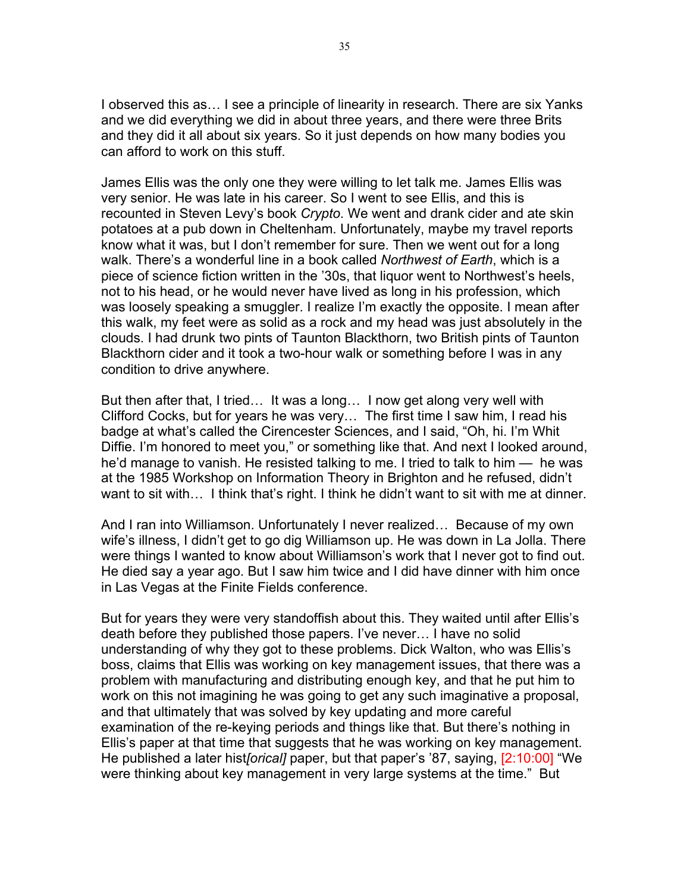I observed this as… I see a principle of linearity in research. There are six Yanks and we did everything we did in about three years, and there were three Brits and they did it all about six years. So it just depends on how many bodies you can afford to work on this stuff.

James Ellis was the only one they were willing to let talk me. James Ellis was very senior. He was late in his career. So I went to see Ellis, and this is recounted in Steven Levy's book *Crypto*. We went and drank cider and ate skin potatoes at a pub down in Cheltenham. Unfortunately, maybe my travel reports know what it was, but I don't remember for sure. Then we went out for a long walk. There's a wonderful line in a book called *Northwest of Earth*, which is a piece of science fiction written in the '30s, that liquor went to Northwest's heels, not to his head, or he would never have lived as long in his profession, which was loosely speaking a smuggler. I realize I'm exactly the opposite. I mean after this walk, my feet were as solid as a rock and my head was just absolutely in the clouds. I had drunk two pints of Taunton Blackthorn, two British pints of Taunton Blackthorn cider and it took a two-hour walk or something before I was in any condition to drive anywhere.

But then after that, I tried… It was a long… I now get along very well with Clifford Cocks, but for years he was very… The first time I saw him, I read his badge at what's called the Cirencester Sciences, and I said, "Oh, hi. I'm Whit Diffie. I'm honored to meet you," or something like that. And next I looked around, he'd manage to vanish. He resisted talking to me. I tried to talk to him — he was at the 1985 Workshop on Information Theory in Brighton and he refused, didn't want to sit with... I think that's right. I think he didn't want to sit with me at dinner.

And I ran into Williamson. Unfortunately I never realized… Because of my own wife's illness, I didn't get to go dig Williamson up. He was down in La Jolla. There were things I wanted to know about Williamson's work that I never got to find out. He died say a year ago. But I saw him twice and I did have dinner with him once in Las Vegas at the Finite Fields conference.

But for years they were very standoffish about this. They waited until after Ellis's death before they published those papers. I've never… I have no solid understanding of why they got to these problems. Dick Walton, who was Ellis's boss, claims that Ellis was working on key management issues, that there was a problem with manufacturing and distributing enough key, and that he put him to work on this not imagining he was going to get any such imaginative a proposal, and that ultimately that was solved by key updating and more careful examination of the re-keying periods and things like that. But there's nothing in Ellis's paper at that time that suggests that he was working on key management. He published a later hist*[orical]* paper, but that paper's '87, saying, [2:10:00] "We were thinking about key management in very large systems at the time." But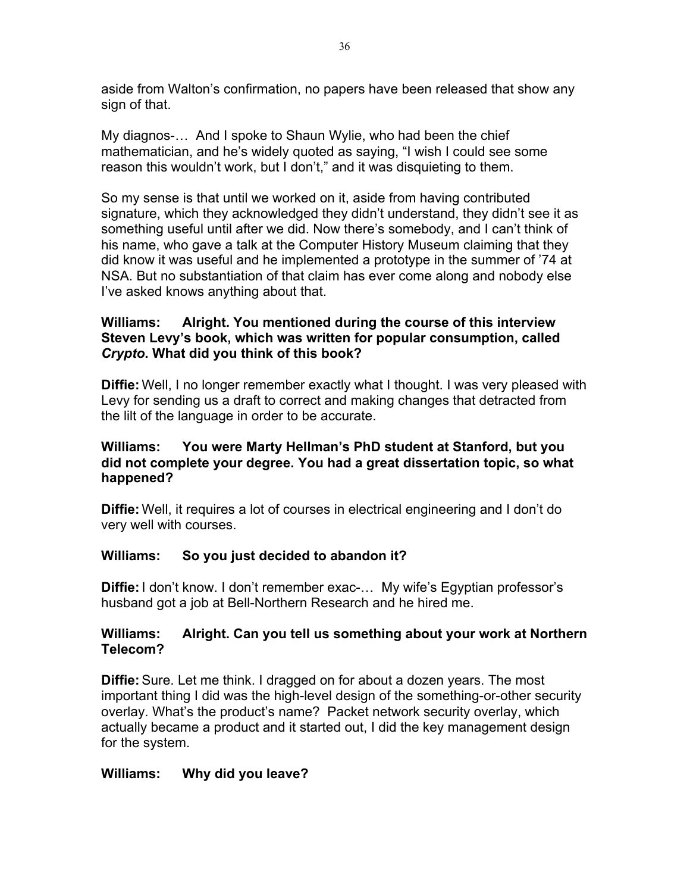aside from Walton's confirmation, no papers have been released that show any sign of that.

My diagnos-… And I spoke to Shaun Wylie, who had been the chief mathematician, and he's widely quoted as saying, "I wish I could see some reason this wouldn't work, but I don't," and it was disquieting to them.

So my sense is that until we worked on it, aside from having contributed signature, which they acknowledged they didn't understand, they didn't see it as something useful until after we did. Now there's somebody, and I can't think of his name, who gave a talk at the Computer History Museum claiming that they did know it was useful and he implemented a prototype in the summer of '74 at NSA. But no substantiation of that claim has ever come along and nobody else I've asked knows anything about that.

## **Williams: Alright. You mentioned during the course of this interview Steven Levy's book, which was written for popular consumption, called**  *Crypto***. What did you think of this book?**

**Diffie:** Well, I no longer remember exactly what I thought. I was very pleased with Levy for sending us a draft to correct and making changes that detracted from the lilt of the language in order to be accurate.

## **Williams: You were Marty Hellman's PhD student at Stanford, but you did not complete your degree. You had a great dissertation topic, so what happened?**

**Diffie:** Well, it requires a lot of courses in electrical engineering and I don't do very well with courses.

# **Williams: So you just decided to abandon it?**

**Diffie:** I don't know. I don't remember exac-… My wife's Egyptian professor's husband got a job at Bell-Northern Research and he hired me.

#### **Williams: Alright. Can you tell us something about your work at Northern Telecom?**

**Diffie:** Sure. Let me think. I dragged on for about a dozen years. The most important thing I did was the high-level design of the something-or-other security overlay. What's the product's name? Packet network security overlay, which actually became a product and it started out, I did the key management design for the system.

#### **Williams: Why did you leave?**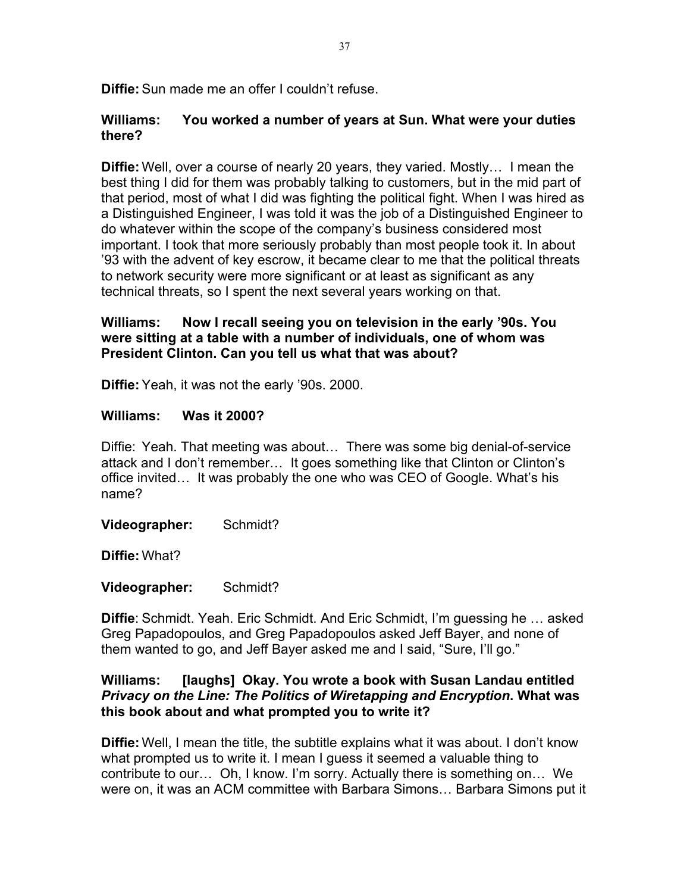**Diffie:** Sun made me an offer I couldn't refuse.

#### **Williams: You worked a number of years at Sun. What were your duties there?**

**Diffie:** Well, over a course of nearly 20 years, they varied. Mostly… I mean the best thing I did for them was probably talking to customers, but in the mid part of that period, most of what I did was fighting the political fight. When I was hired as a Distinguished Engineer, I was told it was the job of a Distinguished Engineer to do whatever within the scope of the company's business considered most important. I took that more seriously probably than most people took it. In about '93 with the advent of key escrow, it became clear to me that the political threats to network security were more significant or at least as significant as any technical threats, so I spent the next several years working on that.

### **Williams: Now I recall seeing you on television in the early '90s. You were sitting at a table with a number of individuals, one of whom was President Clinton. Can you tell us what that was about?**

**Diffie:** Yeah, it was not the early '90s. 2000.

## **Williams: Was it 2000?**

Diffie: Yeah. That meeting was about… There was some big denial-of-service attack and I don't remember… It goes something like that Clinton or Clinton's office invited… It was probably the one who was CEO of Google. What's his name?

**Videographer:** Schmidt?

**Diffie:** What?

**Videographer:** Schmidt?

**Diffie**: Schmidt. Yeah. Eric Schmidt. And Eric Schmidt, I'm guessing he … asked Greg Papadopoulos, and Greg Papadopoulos asked Jeff Bayer, and none of them wanted to go, and Jeff Bayer asked me and I said, "Sure, I'll go."

## **Williams: [laughs] Okay. You wrote a book with Susan Landau entitled**  *Privacy on the Line: The Politics of Wiretapping and Encryption***. What was this book about and what prompted you to write it?**

**Diffie:** Well, I mean the title, the subtitle explains what it was about. I don't know what prompted us to write it. I mean I guess it seemed a valuable thing to contribute to our… Oh, I know. I'm sorry. Actually there is something on… We were on, it was an ACM committee with Barbara Simons… Barbara Simons put it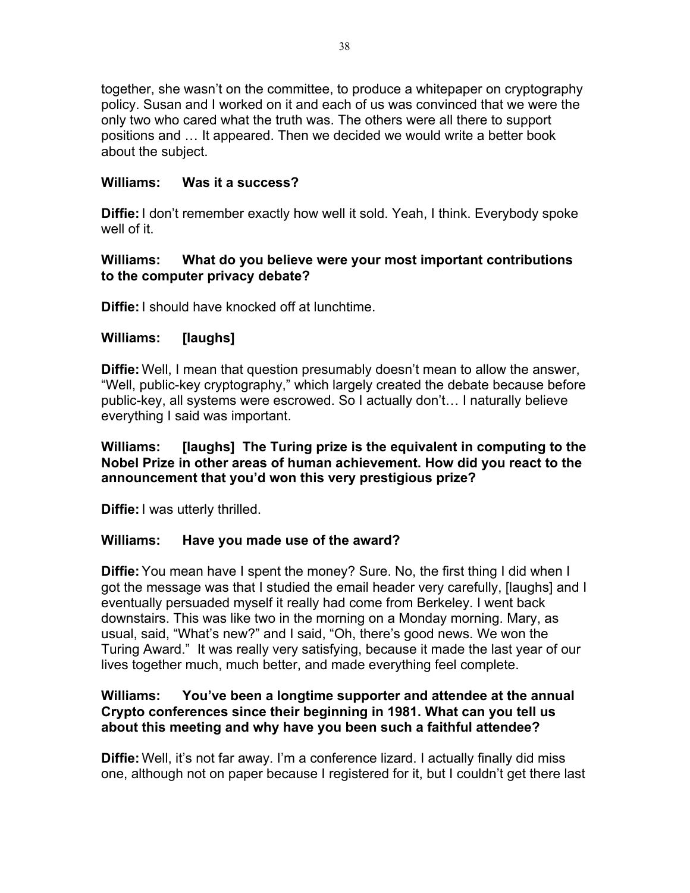together, she wasn't on the committee, to produce a whitepaper on cryptography policy. Susan and I worked on it and each of us was convinced that we were the only two who cared what the truth was. The others were all there to support positions and … It appeared. Then we decided we would write a better book about the subject.

# **Williams: Was it a success?**

**Diffie:** I don't remember exactly how well it sold. Yeah, I think. Everybody spoke well of it.

## **Williams: What do you believe were your most important contributions to the computer privacy debate?**

**Diffie:** I should have knocked off at lunchtime.

## **Williams: [laughs]**

**Diffie:** Well, I mean that question presumably doesn't mean to allow the answer, "Well, public-key cryptography," which largely created the debate because before public-key, all systems were escrowed. So I actually don't… I naturally believe everything I said was important.

#### **Williams: [laughs] The Turing prize is the equivalent in computing to the Nobel Prize in other areas of human achievement. How did you react to the announcement that you'd won this very prestigious prize?**

**Diffie:** I was utterly thrilled.

#### **Williams: Have you made use of the award?**

**Diffie:** You mean have I spent the money? Sure. No, the first thing I did when I got the message was that I studied the email header very carefully, [laughs] and I eventually persuaded myself it really had come from Berkeley. I went back downstairs. This was like two in the morning on a Monday morning. Mary, as usual, said, "What's new?" and I said, "Oh, there's good news. We won the Turing Award." It was really very satisfying, because it made the last year of our lives together much, much better, and made everything feel complete.

## **Williams: You've been a longtime supporter and attendee at the annual Crypto conferences since their beginning in 1981. What can you tell us about this meeting and why have you been such a faithful attendee?**

**Diffie:** Well, it's not far away. I'm a conference lizard. I actually finally did miss one, although not on paper because I registered for it, but I couldn't get there last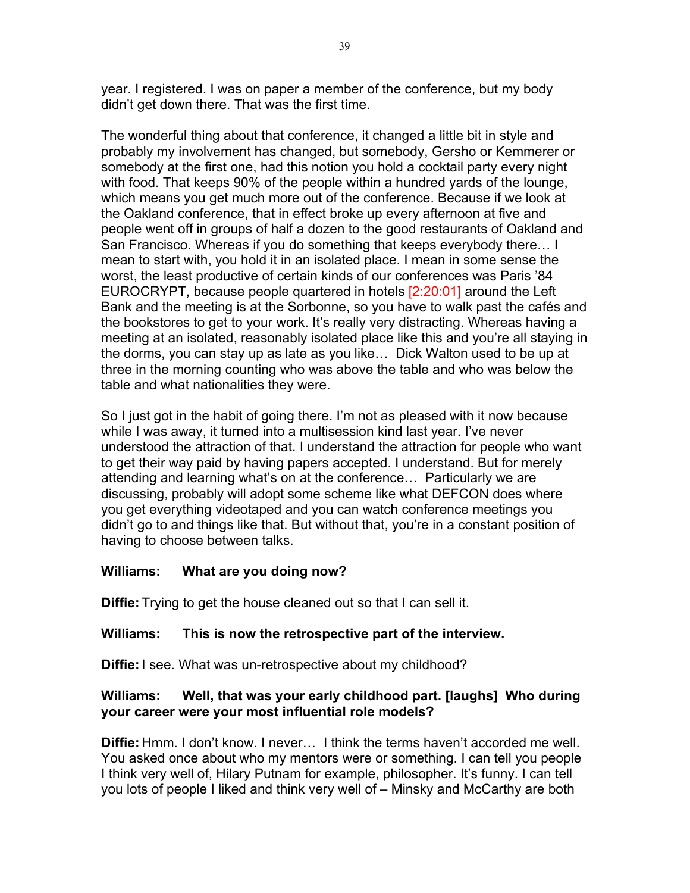year. I registered. I was on paper a member of the conference, but my body didn't get down there. That was the first time.

The wonderful thing about that conference, it changed a little bit in style and probably my involvement has changed, but somebody, Gersho or Kemmerer or somebody at the first one, had this notion you hold a cocktail party every night with food. That keeps 90% of the people within a hundred yards of the lounge, which means you get much more out of the conference. Because if we look at the Oakland conference, that in effect broke up every afternoon at five and people went off in groups of half a dozen to the good restaurants of Oakland and San Francisco. Whereas if you do something that keeps everybody there… I mean to start with, you hold it in an isolated place. I mean in some sense the worst, the least productive of certain kinds of our conferences was Paris '84 EUROCRYPT, because people quartered in hotels [2:20:01] around the Left Bank and the meeting is at the Sorbonne, so you have to walk past the cafés and the bookstores to get to your work. It's really very distracting. Whereas having a meeting at an isolated, reasonably isolated place like this and you're all staying in the dorms, you can stay up as late as you like… Dick Walton used to be up at three in the morning counting who was above the table and who was below the table and what nationalities they were.

So I just got in the habit of going there. I'm not as pleased with it now because while I was away, it turned into a multisession kind last year. I've never understood the attraction of that. I understand the attraction for people who want to get their way paid by having papers accepted. I understand. But for merely attending and learning what's on at the conference… Particularly we are discussing, probably will adopt some scheme like what DEFCON does where you get everything videotaped and you can watch conference meetings you didn't go to and things like that. But without that, you're in a constant position of having to choose between talks.

#### **Williams: What are you doing now?**

**Diffie:** Trying to get the house cleaned out so that I can sell it.

# **Williams: This is now the retrospective part of the interview.**

**Diffie:** I see. What was un-retrospective about my childhood?

## **Williams: Well, that was your early childhood part. [laughs] Who during your career were your most influential role models?**

**Diffie:** Hmm. I don't know. I never… I think the terms haven't accorded me well. You asked once about who my mentors were or something. I can tell you people I think very well of, Hilary Putnam for example, philosopher. It's funny. I can tell you lots of people I liked and think very well of – Minsky and McCarthy are both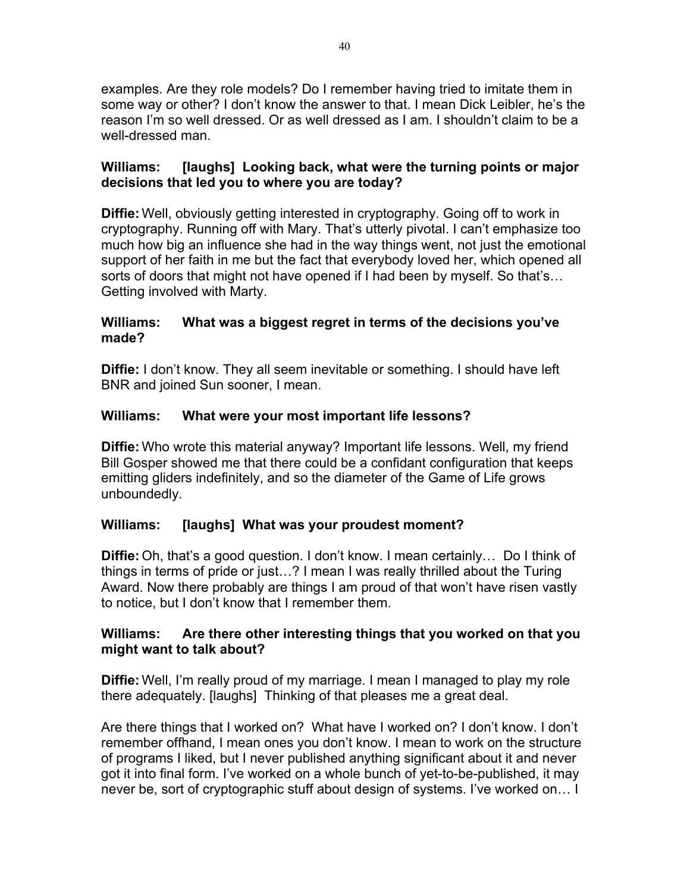examples. Are they role models? Do I remember having tried to imitate them in some way or other? I don't know the answer to that. I mean Dick Leibler, he's the reason I'm so well dressed. Or as well dressed as I am. I shouldn't claim to be a well-dressed man.

## **Williams: [laughs] Looking back, what were the turning points or major decisions that led you to where you are today?**

**Diffie:** Well, obviously getting interested in cryptography. Going off to work in cryptography. Running off with Mary. That's utterly pivotal. I can't emphasize too much how big an influence she had in the way things went, not just the emotional support of her faith in me but the fact that everybody loved her, which opened all sorts of doors that might not have opened if I had been by myself. So that's… Getting involved with Marty.

## **Williams: What was a biggest regret in terms of the decisions you've made?**

**Diffie:** I don't know. They all seem inevitable or something. I should have left BNR and joined Sun sooner, I mean.

# **Williams: What were your most important life lessons?**

**Diffie:** Who wrote this material anyway? Important life lessons. Well, my friend Bill Gosper showed me that there could be a confidant configuration that keeps emitting gliders indefinitely, and so the diameter of the Game of Life grows unboundedly.

# **Williams: [laughs] What was your proudest moment?**

**Diffie:** Oh, that's a good question. I don't know. I mean certainly… Do I think of things in terms of pride or just…? I mean I was really thrilled about the Turing Award. Now there probably are things I am proud of that won't have risen vastly to notice, but I don't know that I remember them.

#### **Williams: Are there other interesting things that you worked on that you might want to talk about?**

**Diffie:** Well, I'm really proud of my marriage. I mean I managed to play my role there adequately. [laughs] Thinking of that pleases me a great deal.

Are there things that I worked on? What have I worked on? I don't know. I don't remember offhand, I mean ones you don't know. I mean to work on the structure of programs I liked, but I never published anything significant about it and never got it into final form. I've worked on a whole bunch of yet-to-be-published, it may never be, sort of cryptographic stuff about design of systems. I've worked on… I